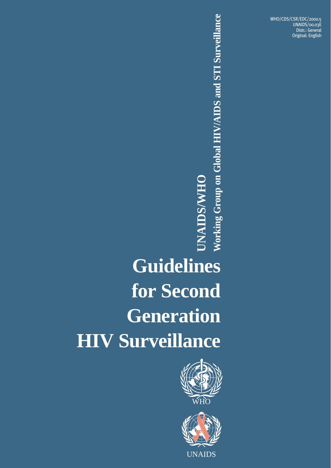WHO/CDS/CSR/EDC/2000.5 UNAIDS/00.03E Distr.: General Original: English

# **Guidelines for Second Generation HIV Surveillance**<br> **HIV Surveillance**<br> **HIV Surveillance**





UNAIDS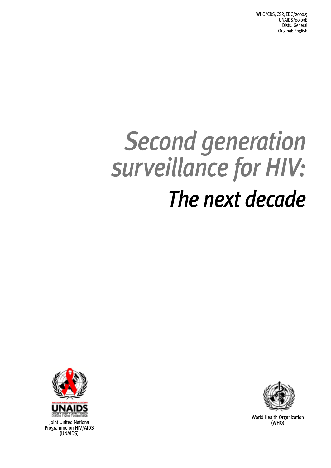# *Second generation surveillance for HIV: The next decade*



Joint United Nations Programme on HIV/AIDS (UNAIDS)



World Health Organization<br>(WHO)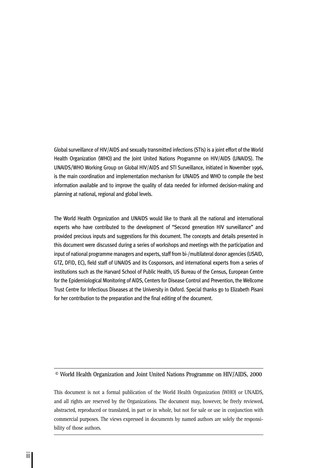Global surveillance of HIV/AIDS and sexually transmitted infections (STIs) is a joint effort of the World Health Organization (WHO) and the Joint United Nations Programme on HIV/AIDS (UNAIDS). The UNAIDS/WHO Working Group on Global HIV/AIDS and STI Surveillance, initiated in November 1996, is the main coordination and implementation mechanism for UNAIDS and WHO to compile the best information available and to improve the quality of data needed for informed decision-making and planning at national, regional and global levels.

The World Health Organization and UNAIDS would like to thank all the national and international experts who have contributed to the development of "Second generation HIV surveillance" and provided precious inputs and suggestions for this document. The concepts and details presented in this document were discussed during a series of workshops and meetings with the participation and input of national programme managers and experts, staff from bi-/multilateral donor agencies (USAID, GTZ, DFID, EC), field staff of UNAIDS and its Cosponsors, and international experts from a series of institutions such as the Harvard School of Public Health, US Bureau of the Census, European Centre for the Epidemiological Monitoring of AIDS, Centers for Disease Control and Prevention, the Wellcome Trust Centre for Infectious Diseases at the University in Oxford. Special thanks go to Elizabeth Pisani for her contribution to the preparation and the final editing of the document.

**© World Health Organization and Joint United Nations Programme on HIV/AIDS, 2000**

This document is not a formal publication of the World Health Organization (WHO) or UNAIDS, and all rights are reserved by the Organizations. The document may, however, be freely reviewed, abstracted, reproduced or translated, in part or in whole, but not for sale or use in conjunction with commercial purposes. The views expressed in documents by named authors are solely the responsibility of those authors.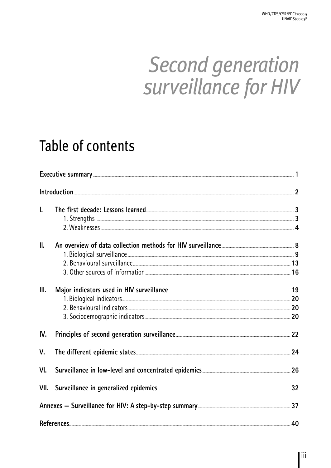# **Second generation** surveillance for HIV

# Table of contents

|                                                                                                                    | $In to auction \textit{101} \textit{11} \textit{2} \textit{2} \textit{3} \textit{4} \textit{5} \textit{5} \textit{6} \textit{6} \textit{7} \textit{7} \textit{8} \textit{8} \textit{9} \textit{10} \textit{11} \textit{12} \textit{12} \textit{13} \textit{14} \textit{15} \textit{16} \textit{17} \textit{18} \textit{19} \textit{19} \textit{19} \textit{19} \textit{19} \textit{19} \textit{19} \textit{1$ |    |
|--------------------------------------------------------------------------------------------------------------------|---------------------------------------------------------------------------------------------------------------------------------------------------------------------------------------------------------------------------------------------------------------------------------------------------------------------------------------------------------------------------------------------------------------|----|
| $\mathbf{I}$ .                                                                                                     |                                                                                                                                                                                                                                                                                                                                                                                                               |    |
|                                                                                                                    |                                                                                                                                                                                                                                                                                                                                                                                                               |    |
| $\mathbf{II}$ .                                                                                                    |                                                                                                                                                                                                                                                                                                                                                                                                               |    |
|                                                                                                                    |                                                                                                                                                                                                                                                                                                                                                                                                               |    |
|                                                                                                                    |                                                                                                                                                                                                                                                                                                                                                                                                               |    |
|                                                                                                                    |                                                                                                                                                                                                                                                                                                                                                                                                               |    |
| III.                                                                                                               | Major indicators used in HIV surveillance <b>Subsequential Contract 2018</b> 19                                                                                                                                                                                                                                                                                                                               |    |
|                                                                                                                    |                                                                                                                                                                                                                                                                                                                                                                                                               |    |
|                                                                                                                    |                                                                                                                                                                                                                                                                                                                                                                                                               |    |
|                                                                                                                    |                                                                                                                                                                                                                                                                                                                                                                                                               |    |
| IV.                                                                                                                |                                                                                                                                                                                                                                                                                                                                                                                                               |    |
| V.                                                                                                                 |                                                                                                                                                                                                                                                                                                                                                                                                               |    |
| VI.                                                                                                                |                                                                                                                                                                                                                                                                                                                                                                                                               |    |
|                                                                                                                    | VII. Surveillance in generalized epidemics <b>Constantine and Serveillance</b> 32                                                                                                                                                                                                                                                                                                                             |    |
| Annexes - Surveillance for HIV: A step-by-step summary [11] Annexes - Surveillance for HIV: A step-by-step summary |                                                                                                                                                                                                                                                                                                                                                                                                               |    |
|                                                                                                                    | References                                                                                                                                                                                                                                                                                                                                                                                                    | 40 |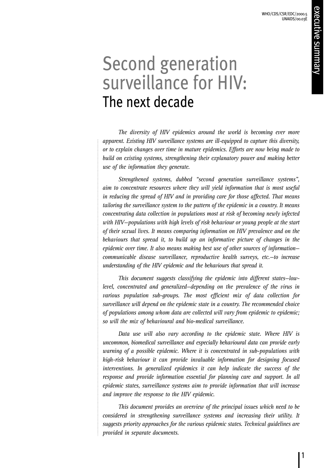# Second generation surveillance for HIV: The next decade

*The diversity of HIV epidemics around the world is becoming ever more apparent. Existing HIV surveillance systems are ill-equipped to capture this diversity, or to explain changes over time in mature epidemics. Efforts are now being made to build on existing systems, strengthening their explanatory power and making better use of the information they generate.*

*Strengthened systems, dubbed "second generation surveillance systems", aim to concentrate resources where they will yield information that is most useful in reducing the spread of HIV and in providing care for those affected. That means tailoring the surveillance system to the pattern of the epidemic in a country. It means concentrating data collection in populations most at risk of becoming newly infected with HIV—populations with high levels of risk behaviour or young people at the start of their sexual lives. It means comparing information on HIV prevalence and on the behaviours that spread it, to build up an informative picture of changes in the epidemic over time. It also means making best use of other sources of information communicable disease surveillance, reproductive health surveys, etc.—to increase understanding of the HIV epidemic and the behaviours that spread it.*

*This document suggests classifying the epidemic into different states—lowlevel, concentrated and generalized—depending on the prevalence of the virus in various population sub-groups. The most efficient mix of data collection for surveillance will depend on the epidemic state in a country. The recommended choice of populations among whom data are collected will vary from epidemic to epidemic; so will the mix of behavioural and bio-medical surveillance.*

*Data use will also vary according to the epidemic state. Where HIV is uncommon, biomedical surveillance and especially behavioural data can provide early warning of a possible epidemic. Where it is concentrated in sub-populations with high-risk behaviour it can provide invaluable information for designing focused interventions. In generalized epidemics it can help indicate the success of the response and provide information essential for planning care and support. In all epidemic states, surveillance systems aim to provide information that will increase and improve the response to the HIV epidemic.*

*This document provides an overview of the principal issues which need to be considered in strengthening surveillance systems and increasing their utility. It suggests priority approaches for the various epidemic states. Technical guidelines are provided in separate documents.*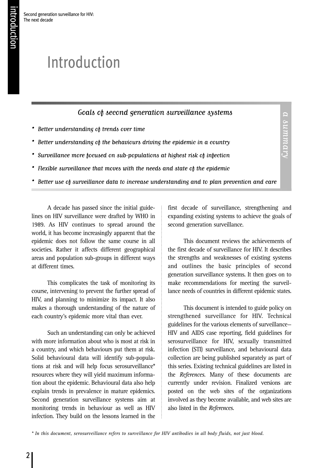# Introduction

Second generation surveillance for HIV:

The next decade

### Goals of second generation surveillance systems

- Better understanding of trends over time
- Better understanding of the behaviours driving the epidemic in a country
- Surveillance more focused on sub-populations at highest risk of infection
- Flexible surveillance that moves with the needs and state of the epidemic
- Better use of surveillance data to increase understanding and to plan prevention and care

A decade has passed since the initial guidelines on HIV surveillance were drafted by WHO in 1989. As HIV continues to spread around the world, it has become increasingly apparent that the epidemic does not follow the same course in all societies. Rather it affects different geographical areas and population sub-groups in different ways at different times.

This complicates the task of monitoring its course, intervening to prevent the further spread of HIV, and planning to minimize its impact. It also makes a thorough understanding of the nature of each country's epidemic more vital than ever.

Such an understanding can only be achieved with more information about who is most at risk in a country, and which behaviours put them at risk. Solid behavioural data will identify sub-populations at risk and will help focus serosurveillance\* resources where they will yield maximum information about the epidemic. Behavioural data also help explain trends in prevalence in mature epidemics. Second generation surveillance systems aim at monitoring trends in behaviour as well as HIV infection. They build on the lessons learned in the first decade of surveillance, strengthening and expanding existing systems to achieve the goals of second generation surveillance.

a summary

a summary

This document reviews the achievements of the first decade of surveillance for HIV. It describes the strengths and weaknesses of existing systems and outlines the basic principles of second generation surveillance systems. It then goes on to make recommendations for meeting the surveillance needs of countries in different epidemic states.

This document is intended to guide policy on strengthened surveillance for HIV. Technical guidelines for the various elements of surveillance— HIV and AIDS case reporting, field guidelines for serosurveillance for HIV, sexually transmitted infection (STI) surveillance, and behavioural data collection are being published separately as part of this series. Existing technical guidelines are listed in the *References*. Many of these documents are currently under revision. Finalized versions are posted on the web sites of the organizations involved as they become available, and web sites are also listed in the *References*.

*<sup>\*</sup> In this document, serosurveillance refers to surveillance for HIV antibodies in all body fluids, not just blood.*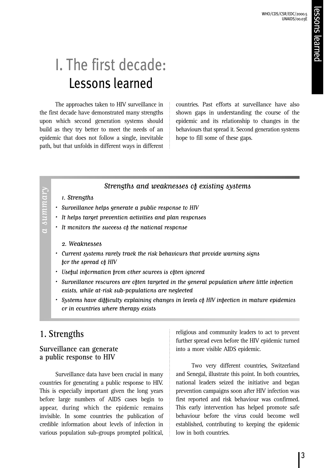# I. The first decade: Lessons learned

The approaches taken to HIV surveillance in the first decade have demonstrated many strengths upon which second generation systems should build as they try better to meet the needs of an epidemic that does not follow a single, inevitable path, but that unfolds in different ways in different countries. Past efforts at surveillance have also shown gaps in understanding the course of the epidemic and its relationship to changes in the behaviours that spread it. Second generation systems hope to fill some of these gaps.

### Strengths and weaknesses of existing systems

1.Strengths

a summary

 $a sum may$ 

- Surveillance helps generate a public response to HIV
- It helps target prevention activities and plan responses
- It monitors the success of the national response
	- 2. Weaknesses
- Current systems rarely track the risk behaviours that provide warning signs for the spread of HIV
- Useful information from other sources is often ignored
- Surveillance resources are often targeted in the general population where little infection exists, while at-risk sub-populations are neglected
- Systems have difficulty explaining changes in levels of HIV infection in mature epidemics or in countries where therapy exists

### **1. Strengths**

### **Surveillance can generate a public response to HIV**

Surveillance data have been crucial in many countries for generating a public response to HIV. This is especially important given the long years before large numbers of AIDS cases begin to appear, during which the epidemic remains invisible. In some countries the publication of credible information about levels of infection in various population sub-groups prompted political,

religious and community leaders to act to prevent further spread even before the HIV epidemic turned into a more visible AIDS epidemic.

Two very different countries, Switzerland and Senegal, illustrate this point. In both countries, national leaders seized the initiative and began prevention campaigns soon after HIV infection was first reported and risk behaviour was confirmed. This early intervention has helped promote safe behaviour before the virus could become well established, contributing to keeping the epidemic low in both countries.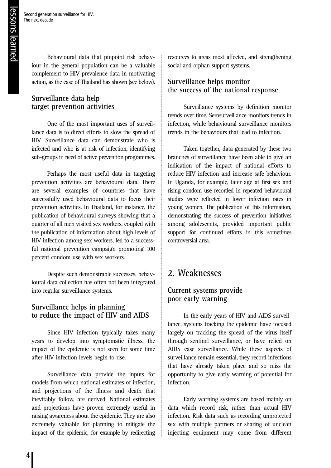Behavioural data that pinpoint risk behaviour in the general population can be a valuable complement to HIV prevalence data in motivating action, as the case of Thailand has shown (see below).

### **Surveillance data help target prevention activities**

One of the most important uses of surveillance data is to direct efforts to slow the spread of HIV. Surveillance data can demonstrate who is infected and who is at risk of infection, identifying sub-groups in need of active prevention programmes.

Perhaps the most useful data in targeting prevention activities are behavioural data. There are several examples of countries that have successfully used behavioural data to focus their prevention activities. In Thailand, for instance, the publication of behavioural surveys showing that a quarter of all men visited sex workers, coupled with the publication of information about high levels of HIV infection among sex workers, led to a successful national prevention campaign promoting 100 percent condom use with sex workers.

Despite such demonstrable successes, behavioural data collection has often not been integrated into regular surveillance systems.

### **Surveillance helps in planning to reduce the impact of HIV and AIDS**

Since HIV infection typically takes many years to develop into symptomatic illness, the impact of the epidemic is not seen for some time after HIV infection levels begin to rise.

Surveillance data provide the inputs for models from which national estimates of infection, and projections of the illness and death that inevitably follow, are derived. National estimates and projections have proven extremely useful in raising awareness about the epidemic. They are also extremely valuable for planning to mitigate the impact of the epidemic, for example by redirecting

resources to areas most affected, and strengthening social and orphan support systems.

### **Surveillance helps monitor the success of the national response**

Surveillance systems by definition monitor trends over time. Serosurveillance monitors trends in infection, while behavioural surveillance monitors trends in the behaviours that lead to infection.

Taken together, data generated by these two branches of surveillance have been able to give an indication of the impact of national efforts to reduce HIV infection and increase safe behaviour. In Uganda, for example, later age at first sex and rising condom use recorded in repeated behavioural studies were reflected in lower infection rates in young women. The publication of this information, demonstrating the success of prevention initiatives among adolescents, provided important public support for continued efforts in this sometimes controversial area.

### **2. Weaknesses**

### **Current systems provide poor early warning**

In the early years of HIV and AIDS surveillance, systems tracking the epidemic have focused largely on tracking the spread of the virus itself through sentinel surveillance, or have relied on AIDS case surveillance. While these aspects of surveillance remain essential, they record infections that have already taken place and so miss the opportunity to give early warning of potential for infection.

Early warning systems are based mainly on data which record risk, rather than actual HIV infection. Risk data such as recording unprotected sex with multiple partners or sharing of unclean injecting equipment may come from different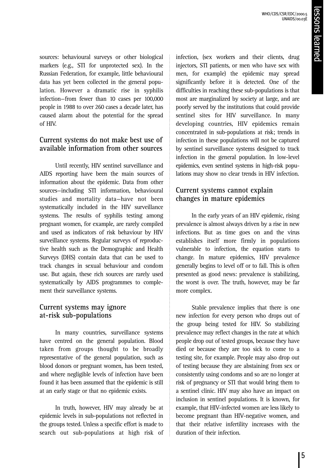sources: behavioural surveys or other biological markers (e.g., STI for unprotected sex). In the Russian Federation, for example, little behavioural data has yet been collected in the general population. However a dramatic rise in syphilis infection—from fewer than 10 cases per 100,000 people in 1988 to over 260 cases a decade later, has caused alarm about the potential for the spread of HIV.

### **Current systems do not make best use of available information from other sources**

Until recently, HIV sentinel surveillance and AIDS reporting have been the main sources of information about the epidemic. Data from other sources—including STI information, behavioural studies and mortality data—have not been systematically included in the HIV surveillance systems. The results of syphilis testing among pregnant women, for example, are rarely compiled and used as indicators of risk behaviour by HIV surveillance systems. Regular surveys of reproductive health such as the Demographic and Health Surveys (DHS) contain data that can be used to track changes in sexual behaviour and condom use. But again, these rich sources are rarely used systematically by AIDS programmes to complement their surveillance systems.

### **Current systems may ignore at-risk sub-populations**

In many countries, surveillance systems have centred on the general population. Blood taken from groups thought to be broadly representative of the general population, such as blood donors or pregnant women, has been tested, and where negligible levels of infection have been found it has been assumed that the epidemic is still at an early stage or that no epidemic exists.

In truth, however, HIV may already be at epidemic levels in sub-populations not reflected in the groups tested. Unless a specific effort is made to search out sub-populations at high risk of infection, (sex workers and their clients, drug injectors, STI patients, or men who have sex with men, for example) the epidemic may spread significantly before it is detected. One of the difficulties in reaching these sub-populations is that most are marginalized by society at large, and are poorly served by the institutions that could provide sentinel sites for HIV surveillance. In many developing countries, HIV epidemics remain concentrated in sub-populations at risk; trends in infection in these populations will not be captured by sentinel surveillance systems designed to track infection in the general population. In low-level epidemics, even sentinel systems in high-risk populations may show no clear trends in HIV infection.

### **Current systems cannot explain changes in mature epidemics**

In the early years of an HIV epidemic, rising prevalence is almost always driven by a rise in new infections. But as time goes on and the virus establishes itself more firmly in populations vulnerable to infection, the equation starts to change. In mature epidemics, HIV prevalence generally begins to level off or to fall. This is often presented as good news: prevalence is stabilizing, the worst is over. The truth, however, may be far more complex.

Stable prevalence implies that there is one new infection for every person who drops out of the group being tested for HIV. So stabilizing prevalence may reflect changes in the rate at which people drop out of tested groups, because they have died or because they are too sick to come to a testing site, for example. People may also drop out of testing because they are abstaining from sex or consistently using condoms and so are no longer at risk of pregnancy or STI that would bring them to a sentinel clinic. HIV may also have an impact on inclusion in sentinel populations. It is known, for example, that HIV-infected women are less likely to become pregnant than HIV-negative women, and that their relative infertility increases with the duration of their infection.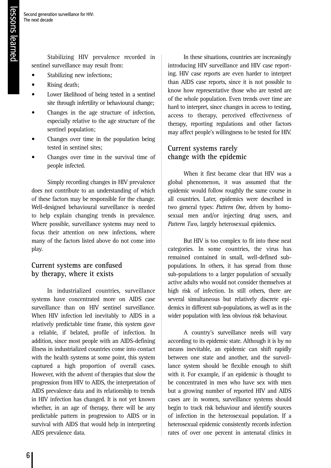Stabilizing HIV prevalence recorded in sentinel surveillance may result from:

- Stabilizing new infections;
- Rising death:
- Lower likelihood of being tested in a sentinel site through infertility or behavioural change;
- Changes in the age structure of infection, especially relative to the age structure of the sentinel population;
- Changes over time in the population being tested in sentinel sites;
- Changes over time in the survival time of people infected.

Simply recording changes in HIV prevalence does not contribute to an understanding of which of these factors may be responsible for the change. Well-designed behavioural surveillance is needed to help explain changing trends in prevalence. Where possible, surveillance systems may need to focus their attention on new infections, where many of the factors listed above do not come into play.

### **Current systems are confused by therapy, where it exists**

In industrialized countries, surveillance systems have concentrated more on AIDS case surveillance than on HIV sentinel surveillance. When HIV infection led inevitably to AIDS in a relatively predictable time frame, this system gave a reliable, if belated, profile of infection. In addition, since most people with an AIDS-defining illness in industrialized countries come into contact with the health systems at some point, this system captured a high proportion of overall cases. However, with the advent of therapies that slow the progression from HIV to AIDS, the interpretation of AIDS prevalence data and its relationship to trends in HIV infection has changed. It is not yet known whether, in an age of therapy, there will be any predictable pattern in progression to AIDS or in survival with AIDS that would help in interpreting AIDS prevalence data.

In these situations, countries are increasingly introducing HIV surveillance and HIV case reporting. HIV case reports are even harder to interpret than AIDS case reports, since it is not possible to know how representative those who are tested are of the whole population. Even trends over time are hard to interpret, since changes in access to testing, access to therapy, perceived effectiveness of therapy, reporting regulations and other factors may affect people's willingness to be tested for HIV.

### **Current systems rarely change with the epidemic**

When it first became clear that HIV was a global phenomenon, it was assumed that the epidemic would follow roughly the same course in all countries. Later, epidemics were described in two general types: *Pattern One,* driven by homosexual men and/or injecting drug users, and *Pattern Two,* largely heterosexual epidemics.

But HIV is too complex to fit into these neat categories. In some countries, the virus has remained contained in small, well-defined subpopulations. In others, it has spread from those sub-populations to a larger population of sexually active adults who would not consider themselves at high risk of infection. In still others, there are several simultaneous but relatively discrete epidemics in different sub-populations, as well as in the wider population with less obvious risk behaviour.

A country's surveillance needs will vary according to its epidemic state. Although it is by no means inevitable, an epidemic can shift rapidly between one state and another, and the surveillance system should be flexible enough to shift with it. For example, if an epidemic is thought to be concentrated in men who have sex with men but a growing number of reported HIV and AIDS cases are in women, surveillance systems should begin to track risk behaviour and identify sources of infection in the heterosexual population. If a heterosexual epidemic consistently records infection rates of over one percent in antenatal clinics in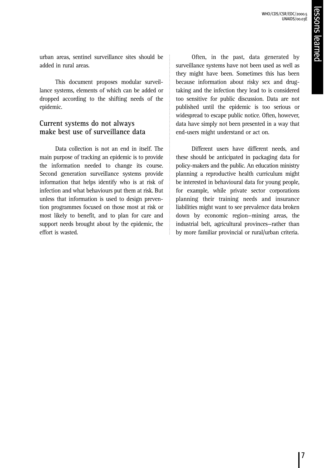urban areas, sentinel surveillance sites should be added in rural areas.

This document proposes modular surveillance systems, elements of which can be added or dropped according to the shifting needs of the epidemic.

### **Current systems do not always make best use of surveillance data**

Data collection is not an end in itself. The main purpose of tracking an epidemic is to provide the information needed to change its course. Second generation surveillance systems provide information that helps identify who is at risk of infection and what behaviours put them at risk. But unless that information is used to design prevention programmes focused on those most at risk or most likely to benefit, and to plan for care and support needs brought about by the epidemic, the effort is wasted.

Often, in the past, data generated by surveillance systems have not been used as well as they might have been. Sometimes this has been because information about risky sex and drugtaking and the infection they lead to is considered too sensitive for public discussion. Data are not published until the epidemic is too serious or widespread to escape public notice. Often, however, data have simply not been presented in a way that end-users might understand or act on.

Different users have different needs, and these should be anticipated in packaging data for policy-makers and the public. An education ministry planning a reproductive health curriculum might be interested in behavioural data for young people, for example, while private sector corporations planning their training needs and insurance liabilities might want to see prevalence data broken down by economic region—mining areas, the industrial belt, agricultural provinces—rather than by more familiar provincial or rural/urban criteria.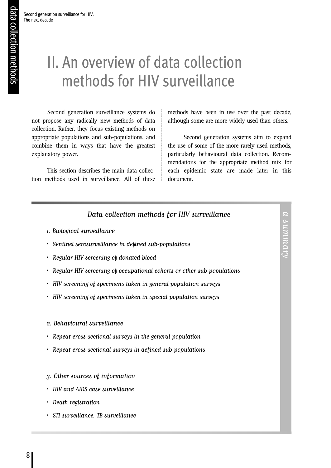# II. An overview of data collection methods for HIV surveillance

Second generation surveillance systems do not propose any radically new methods of data collection. Rather, they focus existing methods on appropriate populations and sub-populations, and combine them in ways that have the greatest explanatory power.

This section describes the main data collection methods used in surveillance. All of these methods have been in use over the past decade, although some are more widely used than others.

Second generation systems aim to expand the use of some of the more rarely used methods, particularly behavioural data collection. Recommendations for the appropriate method mix for each epidemic state are made later in this document.

### Data collection methods for HIV surveillance

- 1.Biological surveillance
- Sentinel serosurveillance in defined sub-populations
- Regular HIV screening of donated blood
- Regular HIV screening of occupational cohorts or other sub-populations
- HIV screening of specimens taken in general population surveys
- HIV screening of specimens taken in special population surveys
- 2. Behavioural surveillance
- Repeat cross-sectional surveys in the general population
- Repeat cross-sectional surveys in defined sub-populations
- 3. Other sources of information
- HIV and AIDS case surveillance
- Death registration
- STI surveillance, TB surveillance

a summary a summary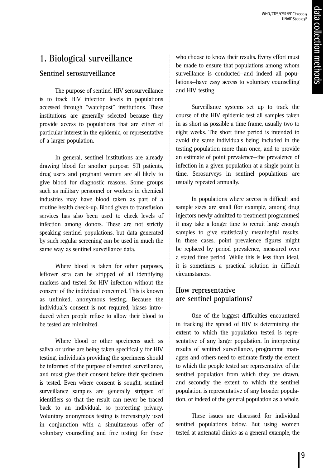### **1. Biological surveillance**

### **Sentinel serosurveillance**

The purpose of sentinel HIV serosurveillance is to track HIV infection levels in populations accessed through "watchpost" institutions. These institutions are generally selected because they provide access to populations that are either of particular interest in the epidemic, or representative of a larger population.

In general, sentinel institutions are already drawing blood for another purpose. STI patients, drug users and pregnant women are all likely to give blood for diagnostic reasons. Some groups such as military personnel or workers in chemical industries may have blood taken as part of a routine health check-up. Blood given to transfusion services has also been used to check levels of infection among donors. These are not strictly speaking sentinel populations, but data generated by such regular screening can be used in much the same way as sentinel surveillance data.

Where blood is taken for other purposes, leftover sera can be stripped of all identifying markers and tested for HIV infection without the consent of the individual concerned. This is known as unlinked, anonymous testing. Because the individual's consent is not required, biases introduced when people refuse to allow their blood to be tested are minimized.

Where blood or other specimens such as saliva or urine are being taken specifically for HIV testing, individuals providing the specimens should be informed of the purpose of sentinel surveillance, and must give their consent before their specimen is tested. Even where consent is sought, sentinel surveillance samples are generally stripped of identifiers so that the result can never be traced back to an individual, so protecting privacy. Voluntary anonymous testing is increasingly used in conjunction with a simultaneous offer of voluntary counselling and free testing for those

who choose to know their results. Every effort must be made to ensure that populations among whom surveillance is conducted—and indeed all populations—have easy access to voluntary counselling and HIV testing.

Surveillance systems set up to track the course of the HIV epidemic test all samples taken in as short as possible a time frame, usually two to eight weeks. The short time period is intended to avoid the same individuals being included in the testing population more than once, and to provide an estimate of point prevalence—the prevalence of infection in a given population at a single point in time. Serosurveys in sentinel populations are usually repeated annually.

In populations where access is difficult and sample sizes are small (for example, among drug injectors newly admitted to treatment programmes) it may take a longer time to recruit large enough samples to give statistically meaningful results. In these cases, point prevalence figures might be replaced by period prevalence, measured over a stated time period. While this is less than ideal, it is sometimes a practical solution in difficult circumstances.

### **How representative are sentinel populations?**

One of the biggest difficulties encountered in tracking the spread of HIV is determining the extent to which the population tested is representative of any larger population. In interpreting results of sentinel surveillance, programme managers and others need to estimate firstly the extent to which the people tested are representative of the sentinel population from which they are drawn, and secondly the extent to which the sentinel population is representative of any broader population, or indeed of the general population as a whole.

These issues are discussed for individual sentinel populations below. But using women tested at antenatal clinics as a general example, the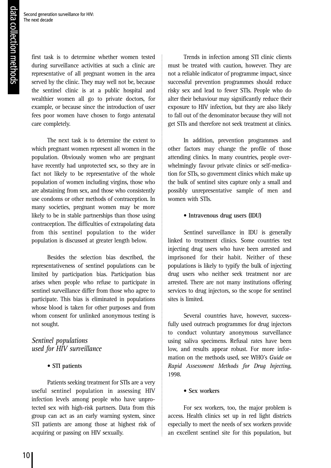Second generation surveillance for HIV: The next decade

> first task is to determine whether women tested during surveillance activities at such a clinic are representative of all pregnant women in the area served by the clinic. They may well not be, because the sentinel clinic is at a public hospital and wealthier women all go to private doctors, for example, or because since the introduction of user fees poor women have chosen to forgo antenatal care completely.

> The next task is to determine the extent to which pregnant women represent all women in the population. Obviously women who are pregnant have recently had unprotected sex, so they are in fact not likely to be representative of the whole population of women including virgins, those who are abstaining from sex, and those who consistently use condoms or other methods of contraception. In many societies, pregnant women may be more likely to be in stable partnerships than those using contraception. The difficulties of extrapolating data from this sentinel population to the wider population is discussed at greater length below.

> Besides the selection bias described, the representativeness of sentinel populations can be limited by participation bias. Participation bias arises when people who refuse to participate in sentinel surveillance differ from those who agree to participate. This bias is eliminated in populations whose blood is taken for other purposes and from whom consent for unlinked anonymous testing is not sought.

### *Sentinel populations used for HIV surveillance*

### • **STI patients**

Patients seeking treatment for STIs are a very useful sentinel population in assessing HIV infection levels among people who have unprotected sex with high-risk partners. Data from this group can act as an early warning system, since STI patients are among those at highest risk of acquiring or passing on HIV sexually.

Trends in infection among STI clinic clients must be treated with caution, however. They are not a reliable indicator of programme impact, since successful prevention programmes should reduce risky sex and lead to fewer STIs. People who do alter their behaviour may significantly reduce their exposure to HIV infection, but they are also likely to fall out of the denominator because they will not get STIs and therefore not seek treatment at clinics.

In addition, prevention programmes and other factors may change the profile of those attending clinics. In many countries, people overwhelmingly favour private clinics or self-medication for STIs, so government clinics which make up the bulk of sentinel sites capture only a small and possibly unrepresentative sample of men and women with STIs.

### **• Intravenous drug users (IDU)**

Sentinel surveillance in IDU is generally linked to treatment clinics. Some countries test injecting drug users who have been arrested and imprisoned for their habit. Neither of these populations is likely to typify the bulk of injecting drug users who neither seek treatment nor are arrested. There are not many institutions offering services to drug injectors, so the scope for sentinel sites is limited.

Several countries have, however, successfully used outreach programmes for drug injectors to conduct voluntary anonymous surveillance using saliva specimens. Refusal rates have been low, and results appear robust. For more information on the methods used, see WHO's *Guide on Rapid Assessment Methods for Drug Injecting*, 1998.

### **• Sex workers**

For sex workers, too, the major problem is access. Health clinics set up in red light districts especially to meet the needs of sex workers provide an excellent sentinel site for this population, but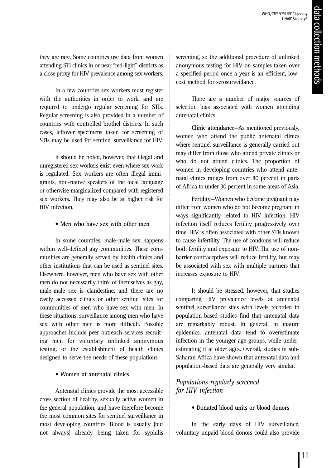they are rare. Some countries use data from women attending STI clinics in or near "red-light" districts as a close proxy for HIV prevalence among sex workers.

In a few countries sex workers must register with the authorities in order to work, and are required to undergo regular screening for STIs. Regular screening is also provided in a number of countries with controlled brothel districts. In such cases, leftover specimens taken for screening of STIs may be used for sentinel surveillance for HIV.

It should be noted, however, that illegal and unregistered sex workers exist even where sex work is regulated. Sex workers are often illegal immigrants, non-native speakers of the local language or otherwise marginalized compared with registered sex workers. They may also be at higher risk for HIV infection.

### **• Men who have sex with other men**

In some countries, male-male sex happens within well-defined gay communities. These communities are generally served by health clinics and other institutions that can be used as sentinel sites. Elsewhere, however, men who have sex with other men do not necessarily think of themselves as gay, male-male sex is clandestine, and there are no easily accessed clinics or other sentinel sites for communities of men who have sex with men. In these situations, surveillance among men who have sex with other men is more difficult. Possible approaches include peer outreach services recruiting men for voluntary unlinked anonymous testing, or the establishment of health clinics designed to serve the needs of these populations.

### **• Women at antenatal clinics**

Antenatal clinics provide the most accessible cross section of healthy, sexually active women in the general population, and have therefore become the most common sites for sentinel surveillance in most developing countries. Blood is usually (but not always) already being taken for syphilis

screening, so the additional procedure of unlinked anonymous testing for HIV on samples taken over a specified period once a year is an efficient, lowcost method for serosurveillance.

There are a number of major sources of selection bias associated with women attending antenatal clinics.

**Clinic attendance**—As mentioned previously, women who attend the public antenatal clinics where sentinel surveillance is generally carried out may differ from those who attend private clinics or who do not attend clinics. The proportion of women in developing countries who attend antenatal clinics ranges from over 80 percent in parts of Africa to under 30 percent in some areas of Asia.

**Fertility**—Women who become pregnant may differ from women who do not become pregnant in ways significantly related to HIV infection. HIV infection itself reduces fertility progressively over time. HIV is often associated with other STIs known to cause infertility. The use of condoms will reduce both fertility and exposure to HIV. The use of nonbarrier contraceptives will reduce fertility, but may be associated with sex with multiple partners that increases exposure to HIV.

It should be stressed, however, that studies comparing HIV prevalence levels at antenatal sentinel surveillance sites with levels recorded in population-based studies find that antenatal data are remarkably robust. In general, in mature epidemics, antenatal data tend to overestimate infection in the younger age groups, while underestimating it at older ages. Overall, studies in sub-Saharan Africa have shown that antenatal data and population-based data are generally very similar.

### *Populations regularly screened for HIV infection*

### **• Donated blood units or blood donors**

In the early days of HIV surveillance, voluntary unpaid blood donors could also provide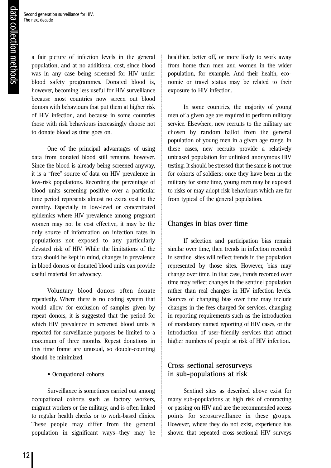a fair picture of infection levels in the general population, and at no additional cost, since blood was in any case being screened for HIV under blood safety programmes. Donated blood is, however, becoming less useful for HIV surveillance because most countries now screen out blood donors with behaviours that put them at higher risk of HIV infection, and because in some countries those with risk behaviours increasingly choose not to donate blood as time goes on.

One of the principal advantages of using data from donated blood still remains, however. Since the blood is already being screened anyway, it is a "free" source of data on HIV prevalence in low-risk populations. Recording the percentage of blood units screening positive over a particular time period represents almost no extra cost to the country. Especially in low-level or concentrated epidemics where HIV prevalence among pregnant women may not be cost effective, it may be the only source of information on infection rates in populations not exposed to any particularly elevated risk of HIV. While the limitations of the data should be kept in mind, changes in prevalence in blood donors or donated blood units can provide useful material for advocacy.

Voluntary blood donors often donate repeatedly. Where there is no coding system that would allow for exclusion of samples given by repeat donors, it is suggested that the period for which HIV prevalence in screened blood units is reported for surveillance purposes be limited to a maximum of three months. Repeat donations in this time frame are unusual, so double-counting should be minimized.

### **• Occupational cohorts**

Surveillance is sometimes carried out among occupational cohorts such as factory workers, migrant workers or the military, and is often linked to regular health checks or to work-based clinics. These people may differ from the general population in significant ways—they may be

healthier, better off, or more likely to work away from home than men and women in the wider population, for example. And their health, economic or travel status may be related to their exposure to HIV infection.

In some countries, the majority of young men of a given age are required to perform military service. Elsewhere, new recruits to the military are chosen by random ballot from the general population of young men in a given age range. In these cases, new recruits provide a relatively unbiased population for unlinked anonymous HIV testing. It should be stressed that the same is not true for cohorts of soldiers; once they have been in the military for some time, young men may be exposed to risks or may adopt risk behaviours which are far from typical of the general population.

### **Changes in bias over time**

If selection and participation bias remain similar over time, then trends in infection recorded in sentinel sites will reflect trends in the population represented by those sites. However, bias may change over time. In that case, trends recorded over time may reflect changes in the sentinel population rather than real changes in HIV infection levels. Sources of changing bias over time may include changes in the fees charged for services, changing in reporting requirements such as the introduction of mandatory named reporting of HIV cases, or the introduction of user-friendly services that attract higher numbers of people at risk of HIV infection.

### **Cross-sectional serosurveys in sub-populations at risk**

Sentinel sites as described above exist for many sub-populations at high risk of contracting or passing on HIV and are the recommended access points for serosurveillance in these groups. However, where they do not exist, experience has shown that repeated cross-sectional HIV surveys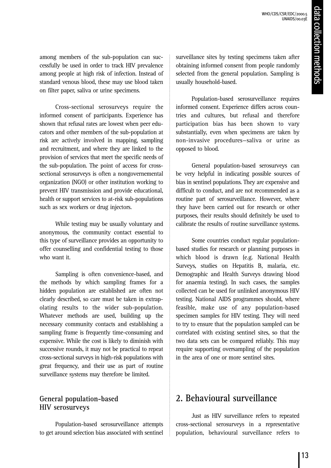among members of the sub-population can successfully be used in order to track HIV prevalence among people at high risk of infection. Instead of standard venous blood, these may use blood taken on filter paper, saliva or urine specimens.

Cross-sectional serosurveys require the informed consent of participants. Experience has shown that refusal rates are lowest when peer educators and other members of the sub-population at risk are actively involved in mapping, sampling and recruitment, and where they are linked to the provision of services that meet the specific needs of the sub-population. The point of access for crosssectional serosurveys is often a nongovernemental organization (NGO) or other institution working to prevent HIV transmission and provide educational, health or support services to at-risk sub-populations such as sex workers or drug injectors.

While testing may be usually voluntary and anonymous, the community contact essential to this type of surveillance provides an opportunity to offer counselling and confidential testing to those who want it.

Sampling is often convenience-based, and the methods by which sampling frames for a hidden population are established are often not clearly described, so care must be taken in extrapolating results to the wider sub-population. Whatever methods are used, building up the necessary community contacts and establishing a sampling frame is frequently time-consuming and expensive. While the cost is likely to diminish with successive rounds, it may not be practical to repeat cross-sectional surveys in high-risk populations with great frequency, and their use as part of routine surveillance systems may therefore be limited.

### **General population-based HIV serosurveys**

Population-based serosurveillance attempts to get around selection bias associated with sentinel surveillance sites by testing specimens taken after obtaining informed consent from people randomly selected from the general population. Sampling is usually household-based.

Population-based serosurveillance requires informed consent. Experience differs across countries and cultures, but refusal and therefore participation bias has been shown to vary substantially, even when specimens are taken by non-invasive procedures—saliva or urine as opposed to blood.

General population-based serosurveys can be very helpful in indicating possible sources of bias in sentinel populations. They are expensive and difficult to conduct, and are not recommended as a routine part of serosurveillance. However, where they have been carried out for research or other purposes, their results should definitely be used to calibrate the results of routine surveillance systems.

Some countries conduct regular populationbased studies for research or planning purposes in which blood is drawn (e.g. National Health Surveys, studies on Hepatitis B, malaria, etc. Demographic and Health Surveys drawing blood for anaemia testing). In such cases, the samples collected can be used for unlinked anonymous HIV testing. National AIDS programmes should, where feasible, make use of any population-based specimen samples for HIV testing. They will need to try to ensure that the population sampled can be correlated with existing sentinel sites, so that the two data sets can be compared reliably. This may require supporting oversampling of the population in the area of one or more sentinel sites.

### **2. Behavioural surveillance**

Just as HIV surveillance refers to repeated cross-sectional serosurveys in a representative population, behavioural surveillance refers to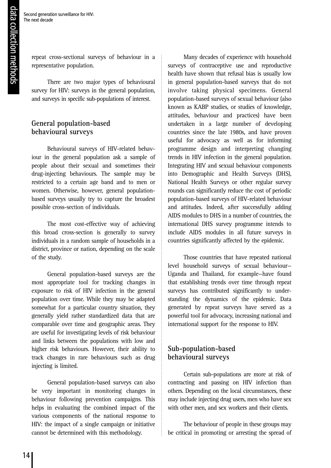repeat cross-sectional surveys of behaviour in a representative population.

There are two major types of behavioural survey for HIV: surveys in the general population, and surveys in specific sub-populations of interest.

### **General population-based behavioural surveys**

Behavioural surveys of HIV-related behaviour in the general population ask a sample of people about their sexual and sometimes their drug-injecting behaviours. The sample may be restricted to a certain age band and to men or women. Otherwise, however, general populationbased surveys usually try to capture the broadest possible cross-section of individuals.

The most cost-effective way of achieving this broad cross-section is generally to survey individuals in a random sample of households in a district, province or nation, depending on the scale of the study.

General population-based surveys are the most appropriate tool for tracking changes in exposure to risk of HIV infection in the general population over time. While they may be adapted somewhat for a particular country situation, they generally yield rather standardized data that are comparable over time and geographic areas. They are useful for investigating levels of risk behaviour and links between the populations with low and higher risk behaviours. However, their ability to track changes in rare behaviours such as drug injecting is limited.

General population-based surveys can also be very important in monitoring changes in behaviour following prevention campaigns. This helps in evaluating the combined impact of the various components of the national response to HIV: the impact of a single campaign or initiative cannot be determined with this methodology.

Many decades of experience with household surveys of contraceptive use and reproductive health have shown that refusal bias is usually low in general population-based surveys that do not involve taking physical specimens. General population-based surveys of sexual behaviour (also known as KABP studies, or studies of knowledge, attitudes, behaviour and practices) have been undertaken in a large number of developing countries since the late 1980s, and have proven useful for advocacy as well as for informing programme design and interpreting changing trends in HIV infection in the general population. Integrating HIV and sexual behaviour components into Demographic and Health Surveys (DHS), National Health Surveys or other regular survey rounds can significantly reduce the cost of periodic population-based surveys of HIV-related behaviour and attitudes. Indeed, after successfully adding AIDS modules to DHS in a number of countries, the international DHS survey programme intends to include AIDS modules in all future surveys in countries significantly affected by the epidemic.

Those countries that have repeated national level household surveys of sexual behaviour— Uganda and Thailand, for example—have found that establishing trends over time through repeat surveys has contributed significantly to understanding the dynamics of the epidemic. Data generated by repeat surveys have served as a powerful tool for advocacy, increasing national and international support for the response to HIV.

### **Sub-population-based behavioural surveys**

Certain sub-populations are more at risk of contracting and passing on HIV infection than others. Depending on the local circumstances, these may include injecting drug users, men who have sex with other men, and sex workers and their clients.

The behaviour of people in these groups may be critical in promoting or arresting the spread of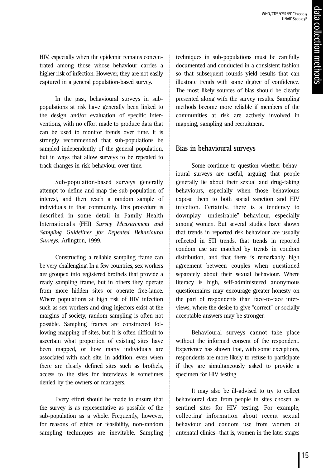HIV, especially when the epidemic remains concentrated among those whose behaviour carries a higher risk of infection. However, they are not easily captured in a general population-based survey.

In the past, behavioural surveys in subpopulations at risk have generally been linked to the design and/or evaluation of specific interventions, with no effort made to produce data that can be used to monitor trends over time. It is strongly recommended that sub-populations be sampled independently of the general population, but in ways that allow surveys to be repeated to track changes in risk behaviour over time.

Sub-population-based surveys generally attempt to define and map the sub-population of interest, and then reach a random sample of individuals in that community. This procedure is described in some detail in Family Health International's (FHI) *Survey Measurement and Sampling Guidelines for Repeated Behavioural Surveys,* Arlington, 1999.

Constructing a reliable sampling frame can be very challenging. In a few countries, sex workers are grouped into registered brothels that provide a ready sampling frame, but in others they operate from more hidden sites or operate free-lance. Where populations at high risk of HIV infection such as sex workers and drug injectors exist at the margins of society, random sampling is often not possible. Sampling frames are constructed following mapping of sites, but it is often difficult to ascertain what proportion of existing sites have been mapped, or how many individuals are associated with each site. In addition, even when there are clearly defined sites such as brothels, access to the sites for interviews is sometimes denied by the owners or managers.

Every effort should be made to ensure that the survey is as representative as possible of the sub-population as a whole. Frequently, however, for reasons of ethics or feasibility, non-random sampling techniques are inevitable. Sampling techniques in sub-populations must be carefully documented and conducted in a consistent fashion so that subsequent rounds yield results that can illustrate trends with some degree of confidence. The most likely sources of bias should be clearly presented along with the survey results. Sampling methods become more reliable if members of the communities at risk are actively involved in mapping, sampling and recruitment.

### **Bias in behavioural surveys**

Some continue to question whether behavioural surveys are useful, arguing that people generally lie about their sexual and drug-taking behaviours, especially when those behaviours expose them to both social sanction and HIV infection. Certainly, there is a tendency to downplay "undesirable" behaviour, especially among women. But several studies have shown that trends in reported risk behaviour are usually reflected in STI trends, that trends in reported condom use are matched by trends in condom distribution, and that there is remarkably high agreement between couples when questioned separately about their sexual behaviour. Where literacy is high, self-administered anonymous questionnaires may encourage greater honesty on the part of respondents than face-to-face interviews, where the desire to give "correct" or socially acceptable answers may be stronger.

Behavioural surveys cannot take place without the informed consent of the respondent. Experience has shown that, with some exceptions, respondents are more likely to refuse to participate if they are simultaneously asked to provide a specimen for HIV testing.

It may also be ill-advised to try to collect behavioural data from people in sites chosen as sentinel sites for HIV testing. For example, collecting information about recent sexual behaviour and condom use from women at antenatal clinics—that is, women in the later stages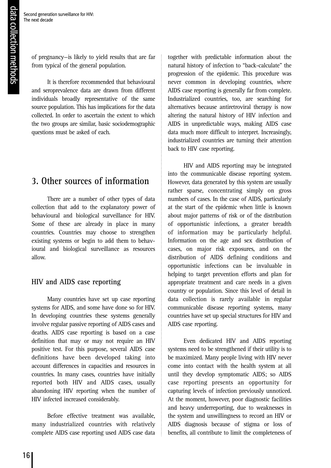of pregnancy—is likely to yield results that are far from typical of the general population.

It is therefore recommended that behavioural and seroprevalence data are drawn from different individuals broadly representative of the same source population. This has implications for the data collected. In order to ascertain the extent to which the two groups are similar, basic sociodemographic questions must be asked of each.

### **3. Other sources of information**

There are a number of other types of data collection that add to the explanatory power of behavioural and biological surveillance for HIV. Some of these are already in place in many countries. Countries may choose to strengthen existing systems or begin to add them to behavioural and biological surveillance as resources allow.

### **HIV and AIDS case reporting**

Many countries have set up case reporting systems for AIDS, and some have done so for HIV. In developing countries these systems generally involve regular passive reporting of AIDS cases and deaths. AIDS case reporting is based on a case definition that may or may not require an HIV positive test. For this purpose, several AIDS case definitions have been developed taking into account differences in capacities and resources in countries. In many cases, countries have initially reported both HIV and AIDS cases, usually abandoning HIV reporting when the number of HIV infected increased considerably.

Before effective treatment was available, many industrialized countries with relatively complete AIDS case reporting used AIDS case data together with predictable information about the natural history of infection to "back-calculate" the progression of the epidemic. This procedure was never common in developing countries, where AIDS case reporting is generally far from complete. Industrialized countries, too, are searching for alternatives because antiretroviral therapy is now altering the natural history of HIV infection and AIDS in unpredictable ways, making AIDS case data much more difficult to interpret. Increasingly, industrialized countries are turning their attention back to HIV case reporting.

HIV and AIDS reporting may be integrated into the communicable disease reporting system. However, data generated by this system are usually rather sparse, concentrating simply on gross numbers of cases. In the case of AIDS, particularly at the start of the epidemic when little is known about major patterns of risk or of the distribution of opportunistic infections, a greater breadth of information may be particularly helpful. Information on the age and sex distribution of cases, on major risk exposures, and on the distribution of AIDS defining conditions and opportunistic infections can be invaluable in helping to target prevention efforts and plan for appropriate treatment and care needs in a given country or population. Since this level of detail in data collection is rarely available in regular communicable disease reporting systems, many countries have set up special structures for HIV and AIDS case reporting.

Even dedicated HIV and AIDS reporting systems need to be strengthened if their utility is to be maximized. Many people living with HIV never come into contact with the health system at all until they develop symptomatic AIDS; so AIDS case reporting presents an opportunity for capturing levels of infection previously unnoticed. At the moment, however, poor diagnostic facilities and heavy underreporting, due to weaknesses in the system and unwillingness to record an HIV or AIDS diagnosis because of stigma or loss of benefits, all contribute to limit the completeness of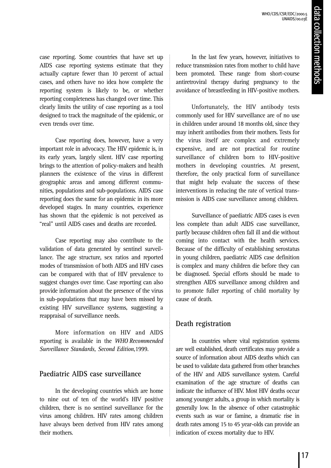case reporting. Some countries that have set up AIDS case reporting systems estimate that they actually capture fewer than 10 percent of actual cases, and others have no idea how complete the reporting system is likely to be, or whether reporting completeness has changed over time. This clearly limits the utility of case reporting as a tool designed to track the magnitude of the epidemic, or even trends over time.

Case reporting does, however, have a very important role in advocacy. The HIV epidemic is, in its early years, largely silent. HIV case reporting brings to the attention of policy-makers and health planners the existence of the virus in different geographic areas and among different communities, populations and sub-populations. AIDS case reporting does the same for an epidemic in its more developed stages. In many countries, experience has shown that the epidemic is not perceived as "real" until AIDS cases and deaths are recorded.

Case reporting may also contribute to the validation of data generated by sentinel surveillance. The age structure, sex ratios and reported modes of transmission of both AIDS and HIV cases can be compared with that of HIV prevalence to suggest changes over time. Case reporting can also provide information about the presence of the virus in sub-populations that may have been missed by existing HIV surveillance systems, suggesting a reappraisal of surveillance needs.

More information on HIV and AIDS reporting is available in the *WHO Recommended Surveillance Standards, Second Edition,*1999.

### **Paediatric AIDS case surveillance**

In the developing countries which are home to nine out of ten of the world's HIV positive children, there is no sentinel surveillance for the virus among children. HIV rates among children have always been derived from HIV rates among their mothers.

In the last few years, however, initiatives to reduce transmission rates from mother to child have been promoted. These range from short-course antiretroviral therapy during pregnancy to the avoidance of breastfeeding in HIV-positive mothers.

Unfortunately, the HIV antibody tests commonly used for HIV surveillance are of no use in children under around 18 months old, since they may inherit antibodies from their mothers. Tests for the virus itself are complex and extremely expensive, and are not practical for routine surveillance of children born to HIV-positive mothers in developing countries. At present, therefore, the only practical form of surveillance that might help evaluate the success of these interventions in reducing the rate of vertical transmission is AIDS case surveillance among children.

Surveillance of paediatric AIDS cases is even less complete than adult AIDS case surveillance, partly because children often fall ill and die without coming into contact with the health services. Because of the difficulty of establishing serostatus in young children, paediatric AIDS case definition is complex and many children die before they can be diagnosed. Special efforts should be made to strengthen AIDS surveillance among children and to promote fuller reporting of child mortality by cause of death.

### **Death registration**

In countries where vital registration systems are well established, death certificates may provide a source of information about AIDS deaths which can be used to validate data gathered from other branches of the HIV and AIDS surveillance system. Careful examination of the age structure of deaths can indicate the influence of HIV. Most HIV deaths occur among younger adults, a group in which mortality is generally low. In the absence of other catastrophic events such as war or famine, a dramatic rise in death rates among 15 to 45 year-olds can provide an indication of excess mortality due to HIV.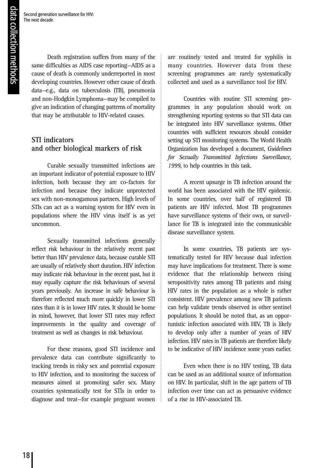Death registration suffers from many of the same difficulties as AIDS case reporting—AIDS as a cause of death is commonly underreported in most developing countries. However other cause of death data—e.g., data on tuberculosis (TB), pneumonia and non-Hodgkin Lymphoma—may be compiled to give an indication of changing patterns of mortality that may be attributable to HIV-related causes.

### **STI indicators and other biological markers of risk**

Curable sexually transmitted infections are an important indicator of potential exposure to HIV infection, both because they are co-factors for infection and because they indicate unprotected sex with non-monogamous partners. High levels of STIs can act as a warning system for HIV even in populations where the HIV virus itself is as yet uncommon.

Sexually transmitted infections generally reflect risk behaviour in the relatively recent past better than HIV prevalence data, because curable STI are usually of relatively short duration. HIV infection may indicate risk behaviour in the recent past, but it may equally capture the risk behaviours of several years previously. An increase in safe behaviour is therefore reflected much more quickly in lower STI rates than it is in lower HIV rates. It should be borne in mind, however, that lower STI rates may reflect improvements in the quality and coverage of treatment as well as changes in risk behaviour.

For these reasons, good STI incidence and prevalence data can contribute significantly to tracking trends in risky sex and potential exposure to HIV infection, and to monitoring the success of measures aimed at promoting safer sex. Many countries systematically test for STIs in order to diagnose and treat—for example pregnant women

are routinely tested and treated for syphilis in many countries. However data from these screening programmes are rarely systematically collected and used as a surveillance tool for HIV.

Countries with routine STI screening programmes in any population should work on strengthening reporting systems so that STI data can be integrated into HIV surveillance systems. Other countries with sufficient resources should consider setting up STI monitoring systems. The World Health Organization has developed a document, *Guidelines for Sexually Transmitted Infections Surveillance, 1999*, to help countries in this task.

A recent upsurge in TB infection around the world has been associated with the HIV epidemic. In some countries, over half of registered TB patients are HIV infected. Most TB programmes have surveillance systems of their own, or surveillance for TB is integrated into the communicable disease surveillance system.

In some countries, TB patients are systematically tested for HIV because dual infection may have implications for treatment. There is some evidence that the relationship between rising seropositivity rates among TB patients and rising HIV rates in the population as a whole is rather consistent. HIV prevalence among new TB patients can help validate trends observed in other sentinel populations. It should be noted that, as an opportunistic infection associated with HIV, TB is likely to develop only after a number of years of HIV infection. HIV rates in TB patients are therefore likely to be indicative of HIV incidence some years earlier.

Even when there is no HIV testing, TB data can be used as an additional source of information on HIV. In particular, shift in the age pattern of TB infection over time can act as persuasive evidence of a rise in HIV-associated TB.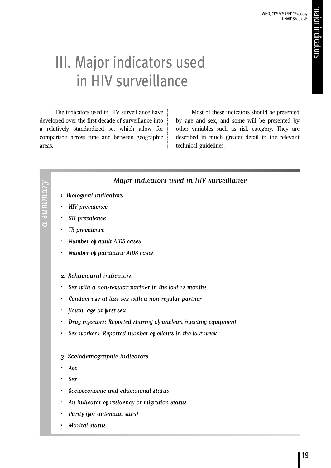# III. Major indicators used in HIV surveillance

The indicators used in HIV surveillance have developed over the first decade of surveillance into a relatively standardized set which allow for comparison across time and between geographic areas.

Most of these indicators should be presented by age and sex, and some will be presented by other variables such as risk category. They are described in much greater detail in the relevant technical guidelines.

### Major indicators used in HIV surveillance

- 1.Biological indicators
- HIV prevalence

a summary

 $a sum may$ 

- STI prevalence
- TB prevalence
- Number of adult AIDS cases
- Number of paediatric AIDS cases
- 2. Behavioural indicators
- Sex with a non-regular partner in the last 12 months
- Condom use at last sex with a non-regular partner
- Youth: age at first sex
- Drug injectors: Reported sharing of unclean injecting equipment
- Sex workers: Reported number of clients in the last week
- 3. Sociodemographic indicators
- Age
- Sex
- Socioeconomic and educational status
- An indicator of residency or migration status
- Parity (for antenatal sites)
- Marital status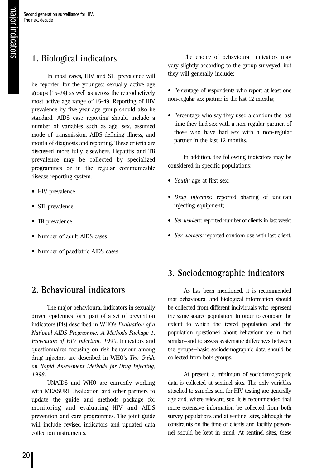### **1. Biological indicators**

In most cases, HIV and STI prevalence will be reported for the youngest sexually active age groups (15-24) as well as across the reproductively most active age range of 15-49. Reporting of HIV prevalence by five-year age group should also be standard. AIDS case reporting should include a number of variables such as age, sex, assumed mode of transmission, AIDS-defining illness, and month of diagnosis and reporting. These criteria are discussed more fully elsewhere. Hepatitis and TB prevalence may be collected by specialized programmes or in the regular communicable disease reporting system.

- HIV prevalence
- STI prevalence
- TB prevalence
- Number of adult AIDS cases
- Number of paediatric AIDS cases

### **2. Behavioural indicators**

The major behavioural indicators in sexually driven epidemics form part of a set of prevention indicators (PIs) described in WHO's *Evaluation of a National AIDS Programme: A Methods Package 1. Prevention of HIV infection, 1999*. Indicators and questionnaires focusing on risk behaviour among drug injectors are described in WHO's *The Guide on Rapid Assessment Methods for Drug Injecting, 1998.*

UNAIDS and WHO are currently working with MEASURE Evaluation and other partners to update the guide and methods package for monitoring and evaluating HIV and AIDS prevention and care programmes. The joint guide will include revised indicators and updated data collection instruments.

The choice of behavioural indicators may vary slightly according to the group surveyed, but they will generally include:

- Percentage of respondents who report at least one non-regular sex partner in the last 12 months;
- Percentage who say they used a condom the last time they had sex with a non-regular partner, of those who have had sex with a non-regular partner in the last 12 months.

In addition, the following indicators may be considered in specific populations:

- *Youth:* age at first sex;
- *Drug injectors:* reported sharing of unclean injecting equipment;
- *Sex workers:* reported number of clients in last week;
- *Sex workers:* reported condom use with last client.

### **3. Sociodemographic indicators**

As has been mentioned, it is recommended that behavioural and biological information should be collected from different individuals who represent the same source population. In order to compare the extent to which the tested population and the population questioned about behaviour are in fact similar—and to assess systematic differences between the groups—basic sociodemographic data should be collected from both groups.

At present, a minimum of sociodemographic data is collected at sentinel sites. The only variables attached to samples sent for HIV testing are generally age and, where relevant, sex. It is recommended that more extensive information be collected from both survey populations and at sentinel sites, although the constraints on the time of clients and facility personnel should be kept in mind. At sentinel sites, these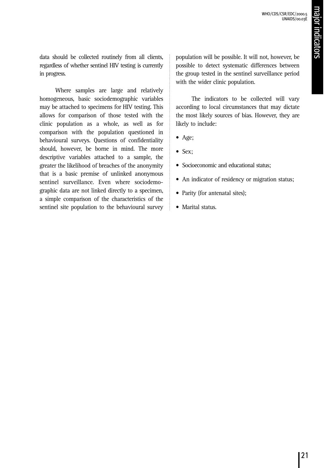data should be collected routinely from all clients, regardless of whether sentinel HIV testing is currently in progress.

Where samples are large and relatively homogeneous, basic sociodemographic variables may be attached to specimens for HIV testing. This allows for comparison of those tested with the clinic population as a whole, as well as for comparison with the population questioned in behavioural surveys. Questions of confidentiality should, however, be borne in mind. The more descriptive variables attached to a sample, the greater the likelihood of breaches of the anonymity that is a basic premise of unlinked anonymous sentinel surveillance. Even where sociodemographic data are not linked directly to a specimen, a simple comparison of the characteristics of the sentinel site population to the behavioural survey population will be possible. It will not, however, be possible to detect systematic differences between the group tested in the sentinel surveillance period with the wider clinic population.

The indicators to be collected will vary according to local circumstances that may dictate the most likely sources of bias. However, they are likely to include:

- Age;
- Sex;
- Socioeconomic and educational status:
- An indicator of residency or migration status;
- Parity (for antenatal sites);
- Marital status.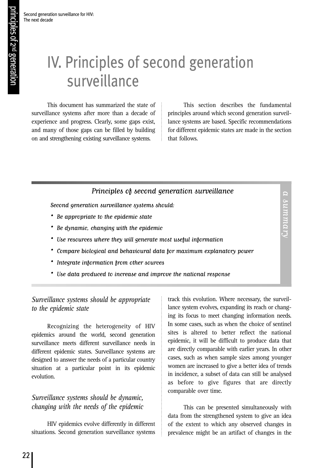# IV. Principles of second generation surveillance

This document has summarized the state of surveillance systems after more than a decade of experience and progress. Clearly, some gaps exist, and many of those gaps can be filled by building on and strengthening existing surveillance systems.

This section describes the fundamental principles around which second generation surveillance systems are based. Specific recommendations for different epidemic states are made in the section that follows.

> a summary a summary

### Principles of second generation surveillance

Second generation surveillance systems should:

- Be appropriate to the epidemic state
- Be dynamic, changing with the epidemic
- Use resources where they will generate most useful information
- Compare biological and behavioural data for maximum explanatory power
- Integrate information from other sources
- Use data produced to increase and improve the national response

### *Surveillance systems should be appropriate to the epidemic state*

Recognizing the heterogeneity of HIV epidemics around the world, second generation surveillance meets different surveillance needs in different epidemic states. Surveillance systems are designed to answer the needs of a particular country situation at a particular point in its epidemic evolution.

### *Surveillance systems should be dynamic, changing with the needs of the epidemic*

HIV epidemics evolve differently in different situations. Second generation surveillance systems

track this evolution. Where necessary, the surveillance system evolves, expanding its reach or changing its focus to meet changing information needs. In some cases, such as when the choice of sentinel sites is altered to better reflect the national epidemic, it will be difficult to produce data that are directly comparable with earlier years. In other cases, such as when sample sizes among younger women are increased to give a better idea of trends in incidence, a subset of data can still be analysed as before to give figures that are directly comparable over time.

This can be presented simultaneously with data from the strengthened system to give an idea of the extent to which any observed changes in prevalence might be an artifact of changes in the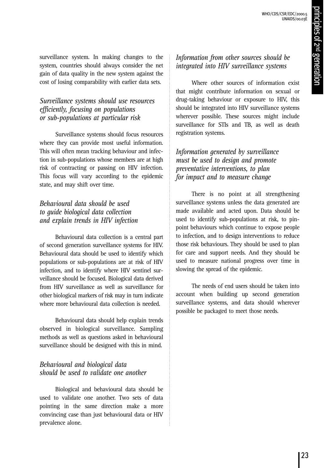surveillance system. In making changes to the system, countries should always consider the net gain of data quality in the new system against the cost of losing comparability with earlier data sets.

### *Surveillance systems should use resources efficiently, focusing on populations or sub-populations at particular risk*

Surveillance systems should focus resources where they can provide most useful information. This will often mean tracking behaviour and infection in sub-populations whose members are at high risk of contracting or passing on HIV infection. This focus will vary according to the epidemic state, and may shift over time.

### *Behavioural data should be used to guide biological data collection and explain trends in HIV infection*

Behavioural data collection is a central part of second generation surveillance systems for HIV. Behavioural data should be used to identify which populations or sub-populations are at risk of HIV infection, and to identify where HIV sentinel surveillance should be focused. Biological data derived from HIV surveillance as well as surveillance for other biological markers of risk may in turn indicate where more behavioural data collection is needed.

Behavioural data should help explain trends observed in biological surveillance. Sampling methods as well as questions asked in behavioural surveillance should be designed with this in mind.

### *Behavioural and biological data should be used to validate one another*

Biological and behavioural data should be used to validate one another. Two sets of data pointing in the same direction make a more convincing case than just behavioural data or HIV prevalence alone.

### *Information from other sources should be integrated into HIV surveillance systems*

Where other sources of information exist that might contribute information on sexual or drug-taking behaviour or exposure to HIV, this should be integrated into HIV surveillance systems wherever possible. These sources might include surveillance for STIs and TB, as well as death registration systems.

### *Information generated by surveillance must be used to design and promote preventative interventions, to plan for impact and to measure change*

There is no point at all strengthening surveillance systems unless the data generated are made available and acted upon. Data should be used to identify sub-populations at risk, to pinpoint behaviours which continue to expose people to infection, and to design interventions to reduce those risk behaviours. They should be used to plan for care and support needs. And they should be used to measure national progress over time in slowing the spread of the epidemic.

The needs of end users should be taken into account when building up second generation surveillance systems, and data should wherever possible be packaged to meet those needs.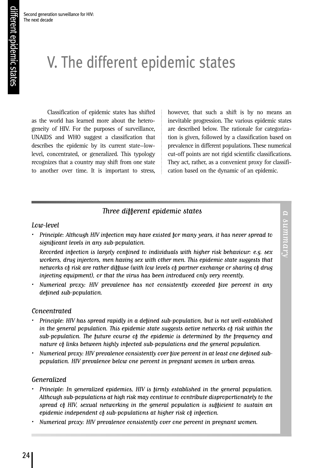# V. The different epidemic states

Classification of epidemic states has shifted as the world has learned more about the heterogeneity of HIV. For the purposes of surveillance, UNAIDS and WHO suggest a classification that describes the epidemic by its current state—lowlevel, concentrated, or generalized. This typology recognizes that a country may shift from one state to another over time. It is important to stress,

however, that such a shift is by no means an inevitable progression. The various epidemic states are described below. The rationale for categorization is given, followed by a classification based on prevalence in different populations. These numerical cut-off points are not rigid scientific classifications. They act, rather, as a convenient proxy for classification based on the dynamic of an epidemic.

### Three different epidemic states

### Low-level

• Principle: Although HIV infection may have existed for many years, it has never spread to significant levels in any sub-population.

Recorded infection is largely confined to individuals with higher risk behaviour: e.g. sex workers, drug injectors, men having sex with other men. This epidemic state suggests that networks of risk are rather diffuse (with low levels of partner exchange or sharing of drug injecting equipment), or that the virus has been introduced only very recently.

• Numerical proxy: HIV prevalence has not consistently exceeded five percent in any defined sub-population.

### Concentrated

- Principle: HIV has spread rapidly in a defined sub-population, but is not well-established in the general population. This epidemic state suggests active networks of risk within the sub-population. The future course of the epidemic is determined by the frequency and nature of links between highly infected sub-populations and the general population.
- Numerical proxy: HIV prevalence consistently over five percent in at least one defined subpopulation. HIV prevalence below one percent in pregnant women in urban areas.

### Generalized

- Principle: In generalized epidemics, HIV is firmly established in the general population. Although sub-populations at high risk may continue to contribute disproportionately to the spread of HIV, sexual networking in the general population is sufficient to sustain an epidemic independent of sub-populations at higher risk of infection.
- Numerical proxy: HIV prevalence consistently over one percent in pregnant women.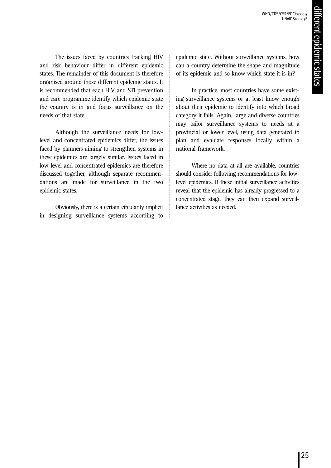The issues faced by countries tracking HIV and risk behaviour differ in different epidemic states. The remainder of this document is therefore organised around those different epidemic states. It is recommended that each HIV and STI prevention and care programme identify which epidemic state the country is in and focus surveillance on the needs of that state.

Although the surveillance needs for lowlevel and concentrated epidemics differ, the issues faced by planners aiming to strengthen systems in these epidemics are largely similar. Issues faced in low-level and concentrated epidemics are therefore discussed together, although separate recommendations are made for surveillance in the two epidemic states.

Obviously, there is a certain circularity implicit in designing surveillance systems according to

epidemic state. Without surveillance systems, how can a country determine the shape and magnitude of its epidemic and so know which state it is in?

In practice, most countries have some existing surveillance systems or at least know enough about their epidemic to identify into which broad category it falls. Again, large and diverse countries may tailor surveillance systems to needs at a provincial or lower level, using data generated to plan and evaluate responses locally within a national framework.

Where no data at all are available, countries should consider following recommendations for lowlevel epidemics. If these initial surveillance activities reveal that the epidemic has already progressed to a concentrated stage, they can then expand surveillance activities as needed.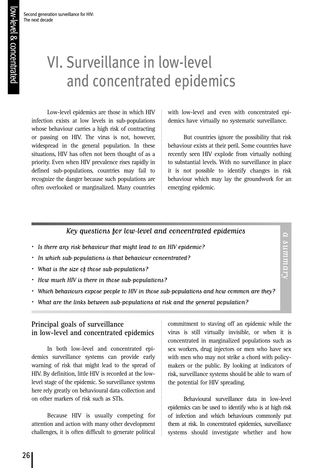Second generation surveillance for HIV:

The next decade

# VI. Surveillance in low-level and concentrated epidemics

Low-level epidemics are those in which HIV infection exists at low levels in sub-populations whose behaviour carries a high risk of contracting or passing on HIV. The virus is not, however, widespread in the general population. In these situations, HIV has often not been thought of as a priority. Even when HIV prevalence rises rapidly in defined sub-populations, countries may fail to recognize the danger because such populations are often overlooked or marginalized. Many countries

with low-level and even with concentrated epidemics have virtually no systematic surveillance.

But countries ignore the possibility that risk behaviour exists at their peril. Some countries have recently seen HIV explode from virtually nothing to substantial levels. With no surveillance in place it is not possible to identify changes in risk behaviour which may lay the groundwork for an emerging epidemic.

a summary

a summary

### Key questions for low-level and concentrated epidemics

- Is there any risk behaviour that might lead to an HIV epidemic?
- In which sub-populations is that behaviour concentrated?
- What is the size of those sub-populations?
- How much HIV is there in those sub-populations?
- Which behaviours expose people to HIV in those sub-populations and how common are they?
- What are the links between sub-populations at risk and the general population?

### **Principal goals of surveillance in low-level and concentrated epidemics**

In both low-level and concentrated epidemics surveillance systems can provide early warning of risk that might lead to the spread of HIV. By definition, little HIV is recorded at the lowlevel stage of the epidemic. So surveillance systems here rely greatly on behavioural data collection and on other markers of risk such as STIs.

Because HIV is usually competing for attention and action with many other development challenges, it is often difficult to generate political

commitment to staving off an epidemic while the virus is still virtually invisible, or when it is concentrated in marginalized populations such as sex workers, drug injectors or men who have sex with men who may not strike a chord with policymakers or the public. By looking at indicators of risk, surveillance systems should be able to warn of the potential for HIV spreading.

Behavioural surveillance data in low-level epidemics can be used to identify who is at high risk of infection and which behaviours commonly put them at risk. In concentrated epidemics, surveillance systems should investigate whether and how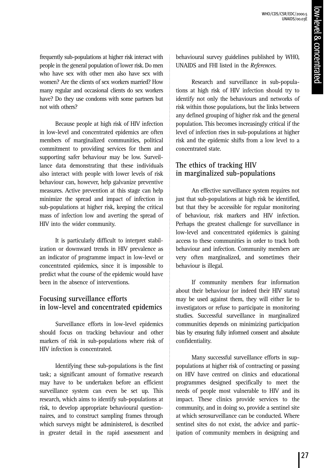frequently sub-populations at higher risk interact with people in the general population of lower risk. Do men who have sex with other men also have sex with women? Are the clients of sex workers married? How many regular and occasional clients do sex workers have? Do they use condoms with some partners but not with others?

Because people at high risk of HIV infection in low-level and concentrated epidemics are often members of marginalized communities, political commitment to providing services for them and supporting safer behaviour may be low. Surveillance data demonstrating that these individuals also interact with people with lower levels of risk behaviour can, however, help galvanize preventive measures. Active prevention at this stage can help minimize the spread and impact of infection in sub-populations at higher risk, keeping the critical mass of infection low and averting the spread of HIV into the wider community.

It is particularly difficult to interpret stabilization or downward trends in HIV prevalence as an indicator of programme impact in low-level or concentrated epidemics, since it is impossible to predict what the course of the epidemic would have been in the absence of interventions.

### **Focusing surveillance efforts in low-level and concentrated epidemics**

Surveillance efforts in low-level epidemics should focus on tracking behaviour and other markers of risk in sub-populations where risk of HIV infection is concentrated.

Identifying these sub-populations is the first task; a significant amount of formative research may have to be undertaken before an efficient surveillance system can even be set up. This research, which aims to identify sub-populations at risk, to develop appropriate behavioural questionnaires, and to construct sampling frames through which surveys might be administered, is described in greater detail in the rapid assessment and

behavioural survey guidelines published by WHO, UNAIDS and FHI listed in the *References*.

Research and surveillance in sub-populations at high risk of HIV infection should try to identify not only the behaviours and networks of risk within those populations, but the links between any defined grouping of higher risk and the general population. This becomes increasingly critical if the level of infection rises in sub-populations at higher risk and the epidemic shifts from a low level to a concentrated state.

### **The ethics of tracking HIV in marginalized sub-populations**

An effective surveillance system requires not just that sub-populations at high risk be identified, but that they be accessible for regular monitoring of behaviour, risk markers and HIV infection. Perhaps the greatest challenge for surveillance in low-level and concentrated epidemics is gaining access to these communities in order to track both behaviour and infection. Community members are very often marginalized, and sometimes their behaviour is illegal.

If community members fear information about their behaviour (or indeed their HIV status) may be used against them, they will either lie to investigators or refuse to participate in monitoring studies. Successful surveillance in marginalized communities depends on minimizing participation bias by ensuring fully informed consent and absolute confidentiality.

Many successful surveillance efforts in suppopulations at higher risk of contracting or passing on HIV have centred on clinics and educational programmes designed specifically to meet the needs of people most vulnerable to HIV and its impact. These clinics provide services to the community, and in doing so, provide a sentinel site at which serosurveillance can be conducted. Where sentinel sites do not exist, the advice and participation of community members in designing and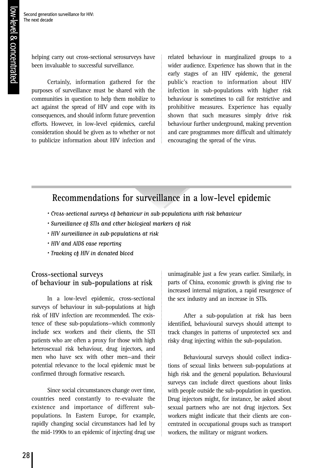helping carry out cross-sectional serosurveys have been invaluable to successful surveillance.

Certainly, information gathered for the purposes of surveillance must be shared with the communities in question to help them mobilize to act against the spread of HIV and cope with its consequences, and should inform future prevention efforts. However, in low-level epidemics, careful consideration should be given as to whether or not to publicize information about HIV infection and

related behaviour in marginalized groups to a wider audience. Experience has shown that in the early stages of an HIV epidemic, the general public's reaction to information about HIV infection in sub-populations with higher risk behaviour is sometimes to call for restrictive and prohibitive measures. Experience has equally shown that such measures simply drive risk behaviour further underground, making prevention and care programmes more difficult and ultimately encouraging the spread of the virus.

### **Recommendations for surveillance in a low-level epidemic**

- Cross-sectional surveys of behaviour in sub-populations with risk behaviour
- Surveillance of STIs and other biological markers of risk
- HIV surveillance in sub-populations at risk
- HIV and AIDS case reporting
- Tracking of HIV in donated blood

### **Cross-sectional surveys of behaviour in sub-populations at risk**

In a low-level epidemic, cross-sectional surveys of behaviour in sub-populations at high risk of HIV infection are recommended. The existence of these sub-populations—which commonly include sex workers and their clients, the STI patients who are often a proxy for those with high heterosexual risk behaviour, drug injectors, and men who have sex with other men—and their potential relevance to the local epidemic must be confirmed through formative research.

Since social circumstances change over time, countries need constantly to re-evaluate the existence and importance of different subpopulations. In Eastern Europe, for example, rapidly changing social circumstances had led by the mid-1990s to an epidemic of injecting drug use

unimaginable just a few years earlier. Similarly, in parts of China, economic growth is giving rise to increased internal migration, a rapid resurgence of the sex industry and an increase in STIs.

After a sub-population at risk has been identified, behavioural surveys should attempt to track changes in patterns of unprotected sex and risky drug injecting within the sub-population.

Behavioural surveys should collect indications of sexual links between sub-populations at high risk and the general population. Behavioural surveys can include direct questions about links with people outside the sub-population in question. Drug injectors might, for instance, be asked about sexual partners who are not drug injectors. Sex workers might indicate that their clients are concentrated in occupational groups such as transport workers, the military or migrant workers.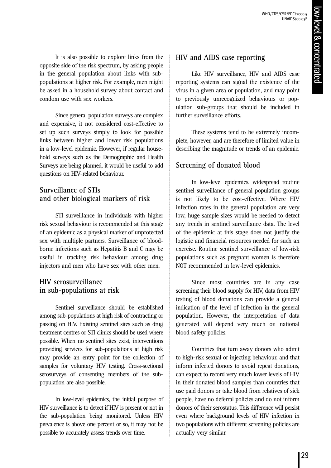It is also possible to explore links from the opposite side of the risk spectrum, by asking people in the general population about links with subpopulations at higher risk. For example, men might be asked in a household survey about contact and condom use with sex workers.

Since general population surveys are complex and expensive, it not considered cost-effective to set up such surveys simply to look for possible links between higher and lower risk populations in a low-level epidemic. However, if regular household surveys such as the Demographic and Health Surveys are being planned, it would be useful to add questions on HIV-related behaviour.

### **Surveillance of STIs and other biological markers of risk**

STI surveillance in individuals with higher risk sexual behaviour is recommended at this stage of an epidemic as a physical marker of unprotected sex with multiple partners. Surveillance of bloodborne infections such as Hepatitis B and C may be useful in tracking risk behaviour among drug injectors and men who have sex with other men.

### **HIV serosurveillance in sub-populations at risk**

Sentinel surveillance should be established among sub-populations at high risk of contracting or passing on HIV. Existing sentinel sites such as drug treatment centres or STI clinics should be used where possible. When no sentinel sites exist, interventions providing services for sub-populations at high risk may provide an entry point for the collection of samples for voluntary HIV testing. Cross-sectional serosurveys of consenting members of the subpopulation are also possible.

In low-level epidemics, the initial purpose of HIV surveillance is to detect if HIV is present or not in the sub-population being monitored. Unless HIV prevalence is above one percent or so, it may not be possible to accurately assess trends over time.

### **HIV and AIDS case reporting**

Like HIV surveillance, HIV and AIDS case reporting systems can signal the existence of the virus in a given area or population, and may point to previously unrecognized behaviours or population sub-groups that should be included in further surveillance efforts.

These systems tend to be extremely incomplete, however, and are therefore of limited value in describing the magnitude or trends of an epidemic.

### **Screening of donated blood**

In low-level epidemics, widespread routine sentinel surveillance of general population groups is not likely to be cost-effective. Where HIV infection rates in the general population are very low, huge sample sizes would be needed to detect any trends in sentinel surveillance data. The level of the epidemic at this stage does not justify the logistic and financial resources needed for such an exercise. Routine sentinel surveillance of low-risk populations such as pregnant women is therefore NOT recommended in low-level epidemics.

Since most countries are in any case screening their blood supply for HIV, data from HIV testing of blood donations can provide a general indication of the level of infection in the general population. However, the interpretation of data generated will depend very much on national blood safety policies.

Countries that turn away donors who admit to high-risk sexual or injecting behaviour, and that inform infected donors to avoid repeat donations, can expect to record very much lower levels of HIV in their donated blood samples than countries that use paid donors or take blood from relatives of sick people, have no deferral policies and do not inform donors of their serostatus. This difference will persist even where background levels of HIV infection in two populations with different screening policies are actually very similar.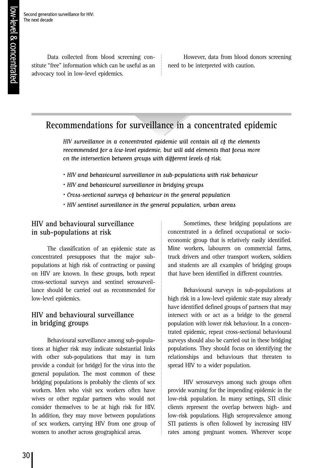Second generation surveillance for HIV: The next decade

> Data collected from blood screening constitute "free" information which can be useful as an advocacy tool in low-level epidemics.

However, data from blood donors screening need to be interpreted with caution.

### **Recommendations for surveillance in a concentrated epidemic**

HIV surveillance in a concentrated epidemic will contain all of the elements recommended for a low-level epidemic, but will add elements that focus more on the intersection between groups with different levels of risk.

- HIV and behavioural surveillance in sub-populations with risk behaviour
- HIV and behavioural surveillance in bridging groups
- Cross-sectional surveys of behaviour in the general population
- HIV sentinel surveillance in the general population, urban areas

### **HIV and behavioural surveillance in sub-populations at risk**

The classification of an epidemic state as concentrated presupposes that the major subpopulations at high risk of contracting or passing on HIV are known. In these groups, both repeat cross-sectional surveys and sentinel serosurveillance should be carried out as recommended for low-level epidemics.

### **HIV and behavioural surveillance in bridging groups**

Behavioural surveillance among sub-populations at higher risk may indicate substantial links with other sub-populations that may in turn provide a conduit (or bridge) for the virus into the general population. The most common of these bridging populations is probably the clients of sex workers. Men who visit sex workers often have wives or other regular partners who would not consider themselves to be at high risk for HIV. In addition, they may move between populations of sex workers, carrying HIV from one group of women to another across geographical areas.

Sometimes, these bridging populations are concentrated in a defined occupational or socioeconomic group that is relatively easily identified. Mine workers, labourers on commercial farms, truck drivers and other transport workers, soldiers and students are all examples of bridging groups that have been identified in different countries.

Behavioural surveys in sub-populations at high risk in a low-level epidemic state may already have identified defined groups of partners that may intersect with or act as a bridge to the general population with lower risk behaviour. In a concentrated epidemic, repeat cross-sectional behavioural surveys should also be carried out in these bridging populations. They should focus on identifying the relationships and behaviours that threaten to spread HIV to a wider population.

HIV serosurveys among such groups often provide warning for the impending epidemic in the low-risk population. In many settings, STI clinic clients represent the overlap between high- and low-risk populations. High seroprevalence among STI patients is often followed by increasing HIV rates among pregnant women. Wherever scope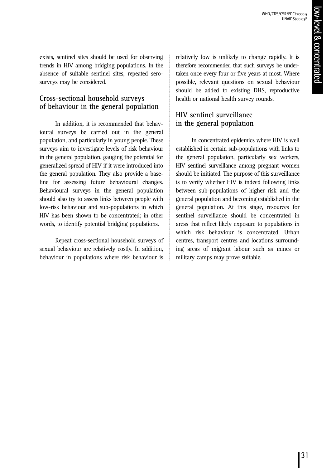exists, sentinel sites should be used for observing trends in HIV among bridging populations. In the absence of suitable sentinel sites, repeated serosurveys may be considered.

### **Cross-sectional household surveys of behaviour in the general population**

In addition, it is recommended that behavioural surveys be carried out in the general population, and particularly in young people. These surveys aim to investigate levels of risk behaviour in the general population, gauging the potential for generalized spread of HIV if it were introduced into the general population. They also provide a baseline for assessing future behavioural changes. Behavioural surveys in the general population should also try to assess links between people with low-risk behaviour and sub-populations in which HIV has been shown to be concentrated; in other words, to identify potential bridging populations.

Repeat cross-sectional household surveys of sexual behaviour are relatively costly. In addition, behaviour in populations where risk behaviour is

relatively low is unlikely to change rapidly. It is therefore recommended that such surveys be undertaken once every four or five years at most. Where possible, relevant questions on sexual behaviour should be added to existing DHS, reproductive health or national health survey rounds.

### **HIV sentinel surveillance in the general population**

In concentrated epidemics where HIV is well established in certain sub-populations with links to the general population, particularly sex workers, HIV sentinel surveillance among pregnant women should be initiated. The purpose of this surveillance is to verify whether HIV is indeed following links between sub-populations of higher risk and the general population and becoming established in the general population. At this stage, resources for sentinel surveillance should be concentrated in areas that reflect likely exposure to populations in which risk behaviour is concentrated. Urban centres, transport centres and locations surrounding areas of migrant labour such as mines or military camps may prove suitable.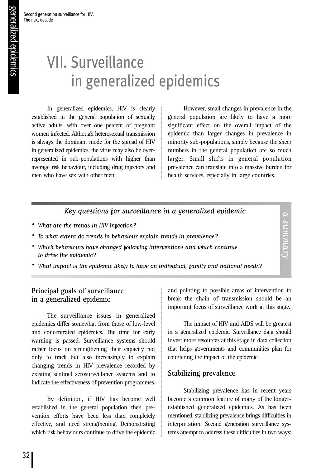Second generation surveillance for HIV:

The next decade

# VII. Surveillance in generalized epidemics

In generalized epidemics, HIV is clearly established in the general population of sexually active adults, with over one percent of pregnant women infected. Although heterosexual transmission is always the dominant mode for the spread of HIV in generalized epidemics, the virus may also be overrepresented in sub-populations with higher than average risk behaviour, including drug injectors and men who have sex with other men.

However, small changes in prevalence in the general population are likely to have a more significant effect on the overall impact of the epidemic than larger changes in prevalence in minority sub-populations, simply because the sheer numbers in the general population are so much larger. Small shifts in general population prevalence can translate into a massive burden for health services, especially in large countries.

### Key questions for surveillance in a generalized epidemic

- What are the trends in HIV infection?
- To what extent do trends in behaviour explain trends in prevalence?
- Which behaviours have changed following interventions and which continue to drive the epidemic?
- What impact is the epidemic likely to have on individual, family and national needs?

### **Principal goals of surveillance in a generalized epidemic**

The surveillance issues in generalized epidemics differ somewhat from those of low-level and concentrated epidemics. The time for early warning is passed. Surveillance systems should rather focus on strengthening their capacity not only to track but also increasingly to explain changing trends in HIV prevalence recorded by existing sentinel serosurveillance systems and to indicate the effectiveness of prevention programmes.

By definition, if HIV has become well established in the general population then prevention efforts have been less than completely effective, and need strengthening. Demonstrating which risk behaviours continue to drive the epidemic and pointing to possible areas of intervention to break the chain of transmission should be an important focus of surveillance work at this stage.

a summary

a summary

The impact of HIV and AIDS will be greatest in a generalized epidemic. Surveillance data should invest more resources at this stage in data collection that helps governments and communities plan for countering the impact of the epidemic.

### **Stabilizing prevalence**

Stabilizing prevalence has in recent years become a common feature of many of the longerestablished generalized epidemics. As has been mentioned, stabilizing prevalence brings difficulties in interpretation. Second generation surveillance systems attempt to address these difficulties in two ways: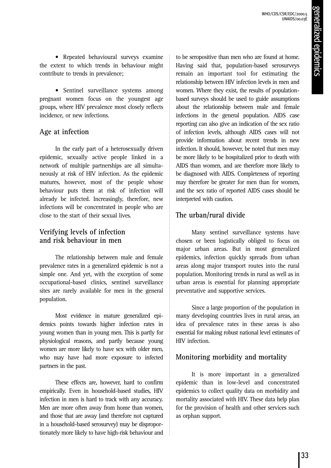• Repeated behavioural surveys examine the extent to which trends in behaviour might contribute to trends in prevalence;

• Sentinel surveillance systems among pregnant women focus on the youngest age groups, where HIV prevalence most closely reflects incidence, or new infections.

### **Age at infection**

In the early part of a heterosexually driven epidemic, sexually active people linked in a network of multiple partnerships are all simultaneously at risk of HIV infection. As the epidemic matures, however, most of the people whose behaviour puts them at risk of infection will already be infected. Increasingly, therefore, new infections will be concentrated in people who are close to the start of their sexual lives.

### **Verifying levels of infection and risk behaviour in men**

The relationship between male and female prevalence rates in a generalized epidemic is not a simple one. And yet, with the exception of some occupational-based clinics, sentinel surveillance sites are rarely available for men in the general population.

Most evidence in mature generalized epidemics points towards higher infection rates in young women than in young men. This is partly for physiological reasons, and partly because young women are more likely to have sex with older men, who may have had more exposure to infected partners in the past.

These effects are, however, hard to confirm empirically. Even in household-based studies, HIV infection in men is hard to track with any accuracy. Men are more often away from home than women, and those that are away (and therefore not captured in a household-based serosurvey) may be disproportionately more likely to have high-risk behaviour and to be seropositive than men who are found at home. Having said that, population-based serosurveys remain an important tool for estimating the relationship between HIV infection levels in men and women. Where they exist, the results of populationbased surveys should be used to guide assumptions about the relationship between male and female infections in the general population. AIDS case reporting can also give an indication of the sex ratio of infection levels, although AIDS cases will not provide information about recent trends in new infection. It should, however, be noted that men may be more likely to be hospitalized prior to death with AIDS than women, and are therefore more likely to be diagnosed with AIDS. Completeness of reporting may therefore be greater for men than for women, and the sex ratio of reported AIDS cases should be interpreted with caution.

### **The urban/rural divide**

Many sentinel surveillance systems have chosen or been logistically obliged to focus on major urban areas. But in most generalized epidemics, infection quickly spreads from urban areas along major transport routes into the rural population. Monitoring trends in rural as well as in urban areas is essential for planning appropriate preventative and supportive services.

Since a large proportion of the population in many developing countries lives in rural areas, an idea of prevalence rates in these areas is also essential for making robust national level estimates of HIV infection.

### **Monitoring morbidity and mortality**

It is more important in a generalized epidemic than in low-level and concentrated epidemics to collect quality data on morbidity and mortality associated with HIV. These data help plan for the provision of health and other services such as orphan support.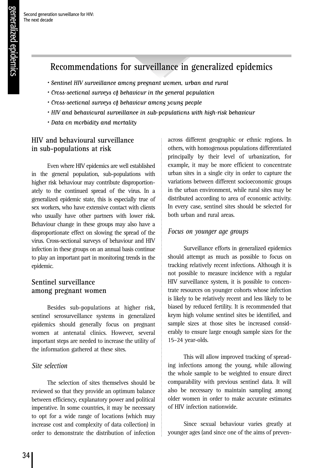### **Recommendations for surveillance in generalized epidemics**

- Sentinel HIV surveillance among pregnant women, urban and rural
- Cross-sectional surveys of behaviour in the general population
- Cross-sectional surveys of behaviour among young people
- HIV and behavioural surveillance in sub-populations with high-risk behaviour
- Data on morbidity and mortality

### **HIV and behavioural surveillance in sub-populations at risk**

Even where HIV epidemics are well established in the general population, sub-populations with higher risk behaviour may contribute disproportionately to the continued spread of the virus. In a generalized epidemic state, this is especially true of sex workers, who have extensive contact with clients who usually have other partners with lower risk. Behaviour change in these groups may also have a disproportionate effect on slowing the spread of the virus. Cross-sectional surveys of behaviour and HIV infection in these groups on an annual basis continue to play an important part in monitoring trends in the epidemic.

### **Sentinel surveillance among pregnant women**

Besides sub-populations at higher risk, sentinel serosurveillance systems in generalized epidemics should generally focus on pregnant women at antenatal clinics. However, several important steps are needed to increase the utility of the information gathered at these sites.

### *Site selection*

The selection of sites themselves should be reviewed so that they provide an optimum balance between efficiency, explanatory power and political imperative. In some countries, it may be necessary to opt for a wide range of locations (which may increase cost and complexity of data collection) in order to demonstrate the distribution of infection across different geographic or ethnic regions. In others, with homogenous populations differentiated principally by their level of urbanization, for example, it may be more efficient to concentrate urban sites in a single city in order to capture the variations between different socioeconomic groups in the urban environment, while rural sites may be distributed according to area of economic activity. In every case, sentinel sites should be selected for both urban and rural areas.

### *Focus on younger age groups*

Surveillance efforts in generalized epidemics should attempt as much as possible to focus on tracking relatively recent infections. Although it is not possible to measure incidence with a regular HIV surveillance system, it is possible to concentrate resources on younger cohorts whose infection is likely to be relatively recent and less likely to be biased by reduced fertility. It is recommended that keym high volume sentinel sites be identified, and sample sizes at those sites be increased considerably to ensure large enough sample sizes for the 15–24 year-olds.

This will allow improved tracking of spreading infections among the young, while allowing the whole sample to be weighted to ensure direct comparability with previous sentinel data. It will also be necessary to maintain sampling among older women in order to make accurate estimates of HIV infection nationwide.

Since sexual behaviour varies greatly at younger ages (and since one of the aims of preven-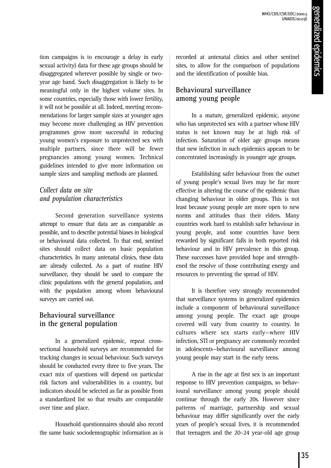WHO/CDS/CSR/EDC/2000.5 UNAIDS/00.03E

tion campaigns is to encourage a delay in early sexual activity) data for these age groups should be disaggregated wherever possible by single or twoyear age band. Such disaggregation is likely to be meaningful only in the highest volume sites. In some countries, especially those with lower fertility, it will not be possible at all. Indeed, meeting recommendations for larger sample sizes at younger ages may become more challenging as HIV prevention programmes grow more successful in reducing young women's exposure to unprotected sex with multiple partners, since there will be fewer pregnancies among young women. Technical guidelines intended to give more information on sample sizes and sampling methods are planned.

### *Collect data on site and population characteristics*

Second generation surveillance systems attempt to ensure that data are as comparable as possible, and to describe potential biases in biological or behavioural data collected. To that end, sentinel sites should collect data on basic population characteristics. In many antenatal clinics, these data are already collected. As a part of routine HIV surveillance, they should be used to compare the clinic populations with the general population, and with the population among whom behavioural surveys are carried out.

### **Behavioural surveillance in the general population**

In a generalized epidemic, repeat crosssectional household surveys are recommended for tracking changes in sexual behaviour. Such surveys should be conducted every three to five years. The exact mix of questions will depend on particular risk factors and vulnerabilities in a country, but indicators should be selected as far as possible from a standardized list so that results are comparable over time and place.

Household questionnaires should also record the same basic sociodemographic information as is recorded at antenatal clinics and other sentinel sites, to allow for the comparison of populations and the identification of possible bias.

### **Behavioural surveillance among young people**

In a mature, generalized epidemic, anyone who has unprotected sex with a partner whose HIV status is not known may be at high risk of infection. Saturation of older age groups means that new infection in such epidemics appears to be concentrated increasingly in younger age groups.

Establishing safer behaviour from the outset of young people's sexual lives may be far more effective in altering the course of the epidemic than changing behaviour in older groups. This is not least because young people are more open to new norms and attitudes than their elders. Many countries work hard to establish safer behaviour in young people, and some countries have been rewarded by significant falls in both reported risk behaviour and in HIV prevalence in this group. These successes have provided hope and strengthened the resolve of those contributing energy and resources to preventing the spread of HIV.

It is therefore very strongly recommended that surveillance systems in generalized epidemics include a component of behavioural surveillance among young people. The exact age groups covered will vary from country to country. In cultures where sex starts early—where HIV infection, STI or pregnancy are commonly recorded in adolescents—behavioural surveillance among young people may start in the early teens.

A rise in the age at first sex is an important response to HIV prevention campaigns, so behavioural surveillance among young people should continue through the early 20s. However since patterns of marriage, partnership and sexual behaviour may differ significantly over the early years of people's sexual lives, it is recommended that teenagers and the 20–24 year-old age group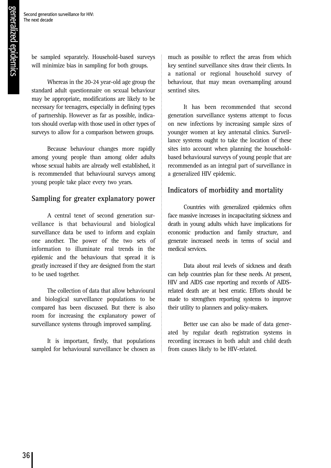be sampled separately. Household-based surveys will minimize bias in sampling for both groups.

Whereas in the 20-24 year-old age group the standard adult questionnaire on sexual behaviour may be appropriate, modifications are likely to be necessary for teenagers, especially in defining types of partnership. However as far as possible, indicators should overlap with those used in other types of surveys to allow for a comparison between groups.

Because behaviour changes more rapidly among young people than among older adults whose sexual habits are already well established, it is recommended that behavioural surveys among young people take place every two years.

### **Sampling for greater explanatory power**

A central tenet of second generation surveillance is that behavioural and biological surveillance data be used to inform and explain one another. The power of the two sets of information to illuminate real trends in the epidemic and the behaviours that spread it is greatly increased if they are designed from the start to be used together.

The collection of data that allow behavioural and biological surveillance populations to be compared has been discussed. But there is also room for increasing the explanatory power of surveillance systems through improved sampling.

It is important, firstly, that populations sampled for behavioural surveillance be chosen as much as possible to reflect the areas from which key sentinel surveillance sites draw their clients. In a national or regional household survey of behaviour, that may mean oversampling around sentinel sites.

It has been recommended that second generation surveillance systems attempt to focus on new infections by increasing sample sizes of younger women at key antenatal clinics. Surveillance systems ought to take the location of these sites into account when planning the householdbased behavioural surveys of young people that are recommended as an integral part of surveillance in a generalized HIV epidemic.

### **Indicators of morbidity and mortality**

Countries with generalized epidemics often face massive increases in incapacitating sickness and death in young adults which have implications for economic production and family structure, and generate increased needs in terms of social and medical services.

Data about real levels of sickness and death can help countries plan for these needs. At present, HIV and AIDS case reporting and records of AIDSrelated death are at best erratic. Efforts should be made to strengthen reporting systems to improve their utility to planners and policy-makers.

Better use can also be made of data generated by regular death registration systems in recording increases in both adult and child death from causes likely to be HIV-related.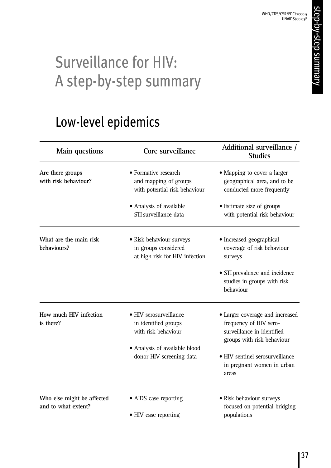# Surveillance for HIV: A step-by-step summary

## Low-level epidemics

| Main questions                                    | Core surveillance                                                                                                                  | Additional surveillance /<br><b>Studies</b>                                                                                                                                                     |
|---------------------------------------------------|------------------------------------------------------------------------------------------------------------------------------------|-------------------------------------------------------------------------------------------------------------------------------------------------------------------------------------------------|
| Are there groups<br>with risk behaviour?          | • Formative research<br>and mapping of groups<br>with potential risk behaviour<br>• Analysis of available<br>STI surveillance data | • Mapping to cover a larger<br>geographical area, and to be<br>conducted more frequently<br>• Estimate size of groups<br>with potential risk behaviour                                          |
| What are the main risk<br>behaviours?             | • Risk behaviour surveys<br>in groups considered<br>at high risk for HIV infection                                                 | · Increased geographical<br>coverage of risk behaviour<br>surveys<br>• STI prevalence and incidence<br>studies in groups with risk<br>behaviour                                                 |
| How much HIV infection<br>is there?               | • HIV serosurveillance<br>in identified groups<br>with risk behaviour<br>• Analysis of available blood<br>donor HIV screening data | • Larger coverage and increased<br>frequency of HIV sero-<br>surveillance in identified<br>groups with risk behaviour<br>• HIV sentinel serosurveillance<br>in pregnant women in urban<br>areas |
| Who else might be affected<br>and to what extent? | • AIDS case reporting<br>• HIV case reporting                                                                                      | · Risk behaviour surveys<br>focused on potential bridging<br>populations                                                                                                                        |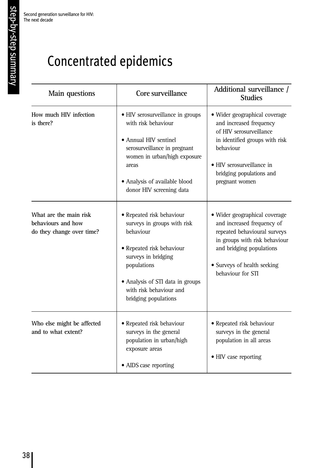# Concentrated epidemics

| Main questions                                                            | Core surveillance                                                                                                                                                                                                               | Additional surveillance /<br><b>Studies</b>                                                                                                                                                                   |
|---------------------------------------------------------------------------|---------------------------------------------------------------------------------------------------------------------------------------------------------------------------------------------------------------------------------|---------------------------------------------------------------------------------------------------------------------------------------------------------------------------------------------------------------|
| How much HIV infection<br>is there?                                       | • HIV serosurveillance in groups<br>with risk behaviour<br>• Annual HIV sentinel<br>serosurveillance in pregnant<br>women in urban/high exposure<br>areas<br>• Analysis of available blood<br>donor HIV screening data          | • Wider geographical coverage<br>and increased frequency<br>of HIV serosurveillance<br>in identified groups with risk<br>behaviour<br>• HIV serosurveillance in<br>bridging populations and<br>pregnant women |
| What are the main risk<br>behaviours and how<br>do they change over time? | • Repeated risk behaviour<br>surveys in groups with risk<br>behaviour<br>• Repeated risk behaviour<br>surveys in bridging<br>populations<br>• Analysis of STI data in groups<br>with risk behaviour and<br>bridging populations | • Wider geographical coverage<br>and increased frequency of<br>repeated behavioural surveys<br>in groups with risk behaviour<br>and bridging populations<br>• Surveys of health seeking<br>behaviour for STI  |
| Who else might be affected<br>and to what extent?                         | • Repeated risk behaviour<br>surveys in the general<br>population in urban/high<br>exposure areas<br>• AIDS case reporting                                                                                                      | • Repeated risk behaviour<br>surveys in the general<br>population in all areas<br>• HIV case reporting                                                                                                        |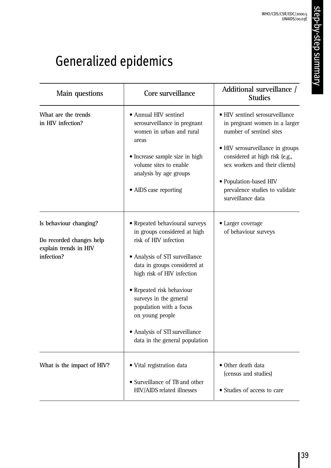# Generalized epidemics

| Main questions                                                                            | Core surveillance                                                                                                                                                                                                                                                                                                                                                | Additional surveillance /<br><b>Studies</b>                                                                                                                                                                                                                                           |
|-------------------------------------------------------------------------------------------|------------------------------------------------------------------------------------------------------------------------------------------------------------------------------------------------------------------------------------------------------------------------------------------------------------------------------------------------------------------|---------------------------------------------------------------------------------------------------------------------------------------------------------------------------------------------------------------------------------------------------------------------------------------|
| What are the trends<br>in HIV infection?                                                  | • Annual HIV sentinel<br>serosurveillance in pregnant<br>women in urban and rural<br>areas<br>• Increase sample size in high<br>volume sites to enable<br>analysis by age groups<br>• AIDS case reporting                                                                                                                                                        | • HIV sentinel serosurveillance<br>in pregnant women in a larger<br>number of sentinel sites<br>• HIV serosurveillance in groups<br>considered at high risk (e.g.,<br>sex workers and their clients)<br>• Population-based HIV<br>prevalence studies to validate<br>surveillance data |
| Is behaviour changing?<br>Do recorded changes help<br>explain trends in HIV<br>infection? | • Repeated behavioural surveys<br>in groups considered at high<br>risk of HIV infection<br>• Analysis of STI surveillance<br>data in groups considered at<br>high risk of HIV infection<br>• Repeated risk behaviour<br>surveys in the general<br>population with a focus<br>on young people<br>• Analysis of STI surveillance<br>data in the general population | • Larger coverage<br>of behaviour surveys                                                                                                                                                                                                                                             |
| What is the impact of HIV?                                                                | • Vital registration data<br>• Surveillance of TB and other<br>HIV/AIDS related illnesses                                                                                                                                                                                                                                                                        | • Other death data<br>(census and studies)<br>• Studies of access to care                                                                                                                                                                                                             |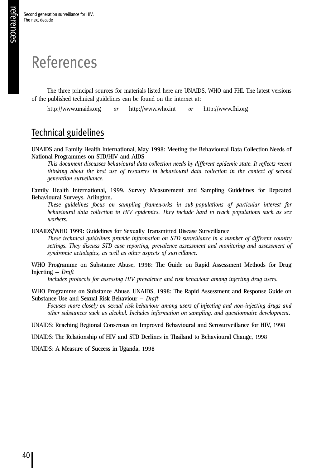# References

The three principal sources for materials listed here are UNAIDS, WHO and FHI. The latest versions of the published technical guidelines can be found on the internet at:

http://www.unaids.org *or* http://www.who.int *or* http://www.fhi.org

### Technical guidelines

**UNAIDS and Family Health International, May 1998: Meeting the Behavioural Data Collection Needs of National Programmes on STD/HIV and AIDS**

*This document discusses behavioural data collection needs by different epidemic state. It reflects recent thinking about the best use of resources in behavioural data collection in the context of second generation surveillance.*

**Family Health International, 1999. Survey Measurement and Sampling Guidelines for Repeated Behavioural Surveys. Arlington.**

*These guidelines focus on sampling frameworks in sub-populations of particular interest for behavioural data collection in HIV epidemics. They include hard to reach populations such as sex workers.*

**UNAIDS/WHO 1999: Guidelines for Sexually Transmitted Disease Surveillance**

*These technical guidelines provide information on STD surveillance in a number of different country settings. They discuss STD case reporting, prevalence assessment and monitoring and assessment of syndromic aetiologies, as well as other aspects of surveillance.*

**WHO Programme on Substance Abuse, 1998: The Guide on Rapid Assessment Methods for Drug Injecting —** *Draft*

*Includes protocols for assessing HIV prevalence and risk behaviour among injecting drug users.*

**WHO Programme on Substance Abuse, UNAIDS, 1998: The Rapid Assessment and Response Guide on Substance Use and Sexual Risk Behaviour —** *Draft*

*Focuses more closely on sexual risk behaviour among users of injecting and non-injecting drugs and other substances such as alcohol. Includes information on sampling, and questionnaire development.*

UNAIDS: **Reaching Regional Consensus on Improved Behavioural and Serosurveillance for HIV,** 1998

UNAIDS: **The Relationship of HIV and STD Declines in Thailand to Behavioural Change,** 1998

UNAIDS: **A Measure of Success in Uganda, 1998**